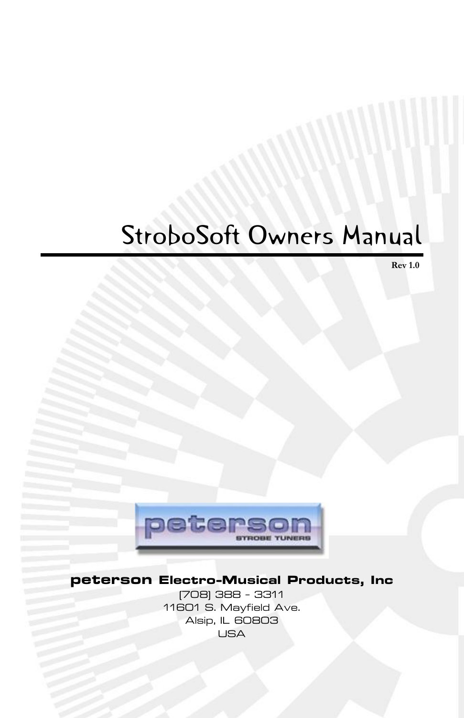# StroboSoft Owners Manual

**Rev 1.0**



### **peterson Electro-Musical Products, Inc**

(708) 388 - 3311 11601 S. Mayfield Ave. Alsip, IL 60803 USA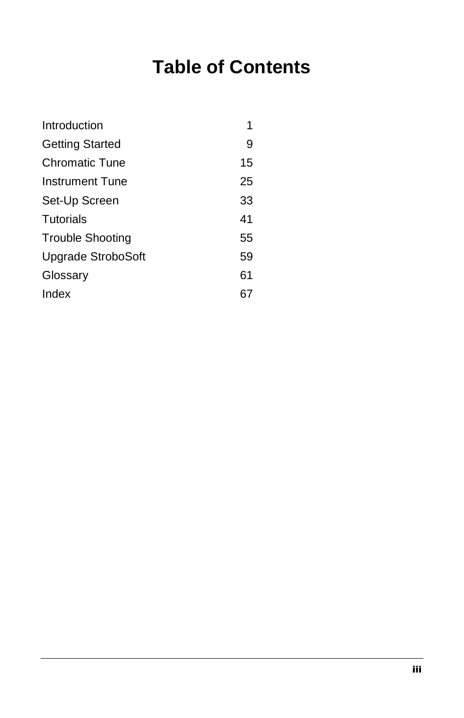## **Table of Contents**

| Introduction           | 1  |
|------------------------|----|
| Getting Started        | 9  |
| <b>Chromatic Tune</b>  | 15 |
| <b>Instrument Tune</b> | 25 |
| Set-Up Screen          | 33 |
| <b>Tutorials</b>       | 41 |
| Trouble Shooting       | 55 |
| Upgrade StroboSoft     | 59 |
| Glossary               | 61 |
| Index                  | 67 |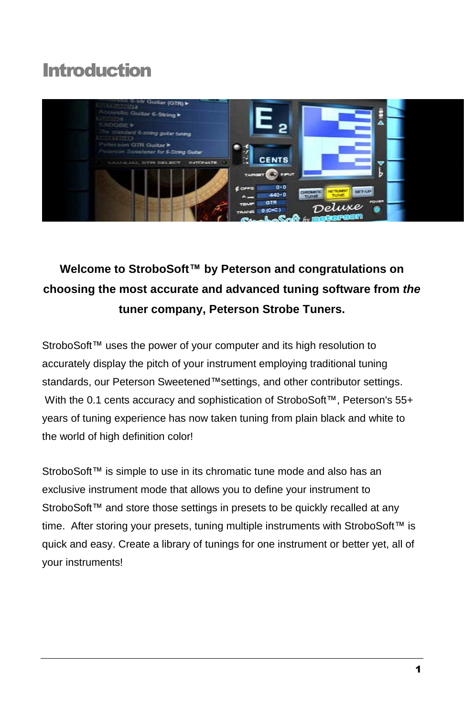### <span id="page-4-0"></span>**Introduction**



### **Welcome to StroboSoftô by Peterson and congratulations on choosing the most accurate and advanced tuning software from the tuner company, Peterson Strobe Tuners.**

StroboSoft™ uses the power of your computer and its high resolution to accurately display the pitch of your instrument employing traditional tuning standards, our Peterson Sweetened™settings, and other contributor settings. With the 0.1 cents accuracy and sophistication of StroboSoft™, Peterson's 55+ years of tuning experience has now taken tuning from plain black and white to the world of high definition color!

StroboSoft™ is simple to use in its chromatic tune mode and also has an exclusive instrument mode that allows you to define your instrument to StroboSoft™ and store those settings in presets to be quickly recalled at any time. After storing your presets, tuning multiple instruments with StroboSoft™ is quick and easy. Create a library of tunings for one instrument or better yet, all of your instruments!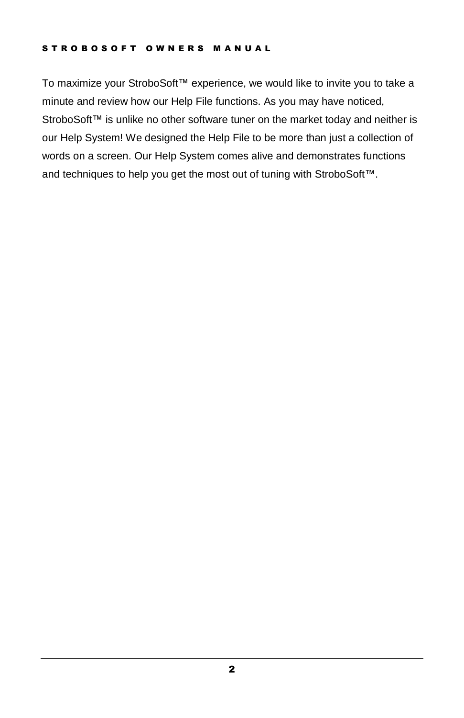#### STROBOSOFT OWNERS MANUAL

To maximize your StroboSoft™ experience, we would like to invite you to take a minute and review how our Help File functions. As you may have noticed, StroboSoft™ is unlike no other software tuner on the market today and neither is our Help System! We designed the Help File to be more than just a collection of words on a screen. Our Help System comes alive and demonstrates functions and techniques to help you get the most out of tuning with StroboSoft™.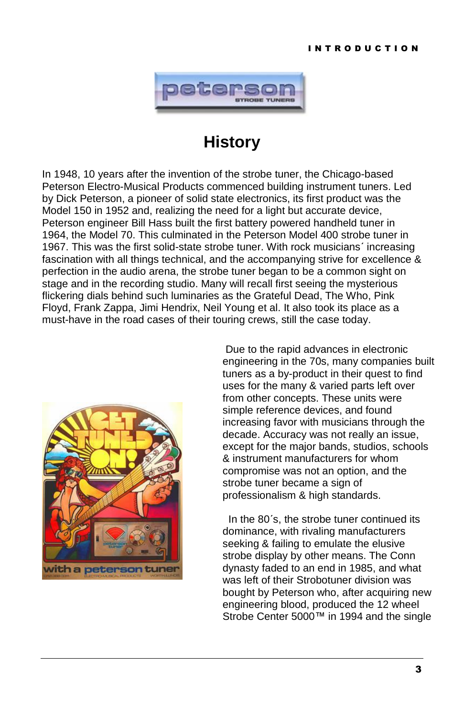

### **History**

In 1948, 10 years after the invention of the strobe tuner, the Chicago-based Peterson Electro-Musical Products commenced building instrument tuners. Led by Dick Peterson, a pioneer of solid state electronics, its first product was the Model 150 in 1952 and, realizing the need for a light but accurate device, Peterson engineer Bill Hass built the first battery powered handheld tuner in 1964, the Model 70. This culminated in the Peterson Model 400 strobe tuner in 1967. This was the first solid-state strobe tuner. With rock musicians' increasing fascination with all things technical, and the accompanying strive for excellence & perfection in the audio arena, the strobe tuner began to be a common sight on stage and in the recording studio. Many will recall first seeing the mysterious flickering dials behind such luminaries as the Grateful Dead, The Who, Pink Floyd, Frank Zappa, Jimi Hendrix, Neil Young et al. It also took its place as a must-have in the road cases of their touring crews, still the case today.



Due to the rapid advances in electronic engineering in the 70s, many companies built tuners as a by-product in their quest to find uses for the many & varied parts left over from other concepts. These units were simple reference devices, and found increasing favor with musicians through the decade. Accuracy was not really an issue, except for the major bands, studios, schools & instrument manufacturers for whom compromise was not an option, and the strobe tuner became a sign of professionalism & high standards.

In the 80's, the strobe tuner continued its dominance, with rivaling manufacturers seeking & failing to emulate the elusive strobe display by other means. The Conn dynasty faded to an end in 1985, and what was left of their Strobotuner division was bought by Peterson who, after acquiring new engineering blood, produced the 12 wheel Strobe Center 5000™ in 1994 and the single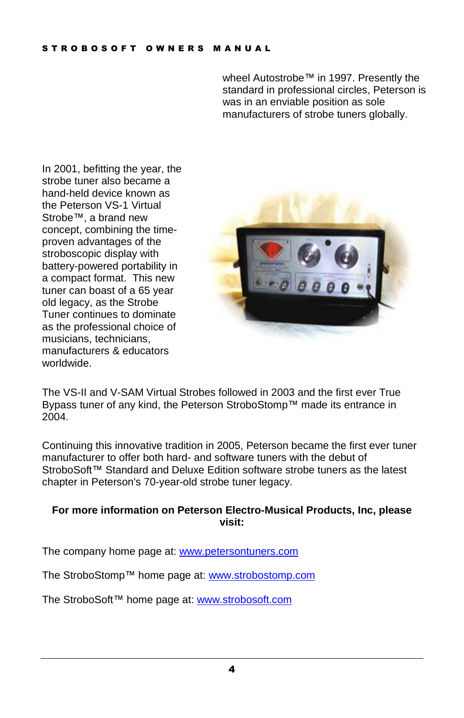wheel Autostrobe™ in 1997. Presently the standard in professional circles, Peterson is was in an enviable position as sole manufacturers of strobe tuners globally.

In 2001, befitting the year, the strobe tuner also became a hand-held device known as the Peterson VS-1 Virtual Strobe<sup>™</sup>, a brand new concept, combining the time proven advantages of the stroboscopic display with battery-powered portability in a compact format. This new tuner can boast of a 65 year old legacy, as the Strobe Tuner continues to dominate as the professional choice of musicians, technicians, manufacturers & educators worldwide.



The VS-II and V-SAM Virtual Strobes followed in 2003 and the first ever True Bypass tuner of any kind, the Peterson StroboStomp™ made its entrance in 2004.

Continuing this innovative tradition in 2005, Peterson became the first ever tuner manufacturer to offer both hard- and software tuners with the debut of StroboSoft™ Standard and Deluxe Edition software strobe tuners as the latest chapter in Peterson's 70-year-old strobe tuner legacy.

#### **For more information on Peterson Electro-Musical Products, Inc, please visit:**

The company home page at: [www.petersontuners.com](http://www.petersontuners.com)

The StroboStomp™ home page at: [www.strobostomp.com](http://www.strobostomp.com)

The StroboSoft™ home page at: [www.strobosoft.com](http://www.strobosoft.com)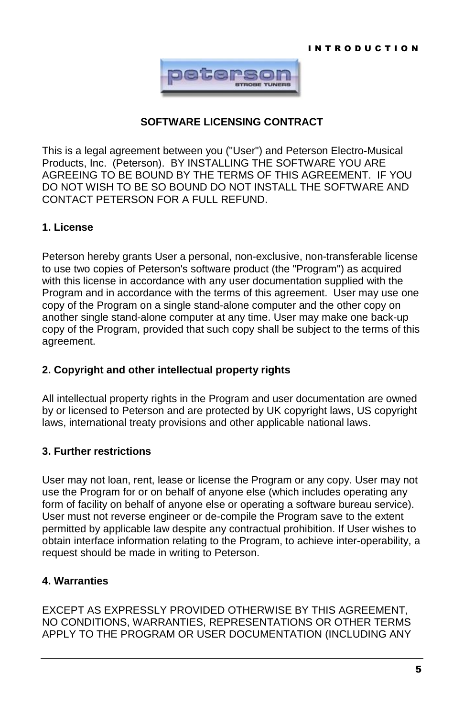

#### **SOFTWARE LICENSING CONTRACT**

This is a legal agreement between you ("User") and Peterson Electro-Musical Products, Inc. (Peterson). BY INSTALLING THE SOFTWARE YOU ARE AGREEING TO BE BOUND BY THE TERMS OF THIS AGREEMENT. IF YOU DO NOT WISH TO BE SO BOUND DO NOT INSTALL THE SOFTWARE AND CONTACT PETERSON FOR A FULL REFUND.

#### **1. License**

Peterson hereby grants User a personal, non-exclusive, non-transferable license to use two copies of Peterson's software product (the "Program") as acquired with this license in accordance with any user documentation supplied with the Program and in accordance with the terms of this agreement. User may use one copy of the Program on a single stand-alone computer and the other copy on another single stand-alone computer at any time. User may make one back-up copy of the Program, provided that such copy shall be subject to the terms of this agreement.

#### **2. Copyright and other intellectual property rights**

All intellectual property rights in the Program and user documentation are owned by or licensed to Peterson and are protected by UK copyright laws, US copyright laws, international treaty provisions and other applicable national laws.

#### **3. Further restrictions**

User may not loan, rent, lease or license the Program or any copy. User may not use the Program for or on behalf of anyone else (which includes operating any form of facility on behalf of anyone else or operating a software bureau service). User must not reverse engineer or de-compile the Program save to the extent permitted by applicable law despite any contractual prohibition. If User wishes to obtain interface information relating to the Program, to achieve inter-operability, a request should be made in writing to Peterson.

#### **4. Warranties**

EXCEPT AS EXPRESSLY PROVIDED OTHERWISE BY THIS AGREEMENT, NO CONDITIONS, WARRANTIES, REPRESENTATIONS OR OTHER TERMS APPLY TO THE PROGRAM OR USER DOCUMENTATION (INCLUDING ANY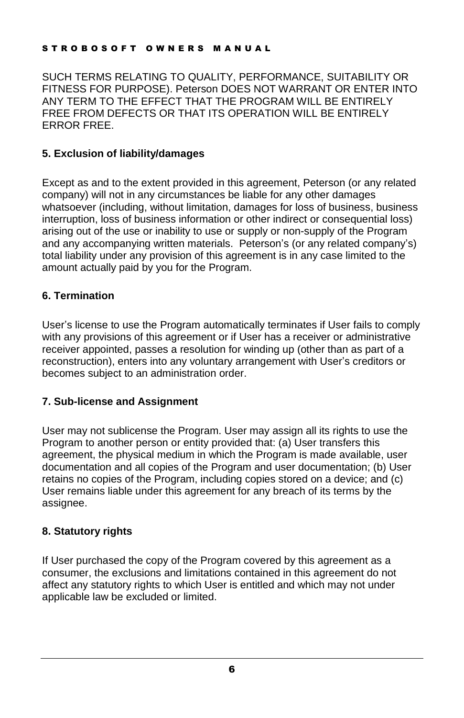#### STROBOSOFT OWNERS MANUAL

SUCH TERMS RELATING TO QUALITY, PERFORMANCE, SUITABILITY OR FITNESS FOR PURPOSE). Peterson DOES NOT WARRANT OR ENTER INTO ANY TERM TO THE EFFECT THAT THE PROGRAM WILL BE ENTIRELY FREE FROM DEFECTS OR THAT ITS OPERATION WILL BE ENTIRELY ERROR FREE.

#### **5. Exclusion of liability/damages**

Except as and to the extent provided in this agreement, Peterson (or any related company) will not in any circumstances be liable for any other damages whatsoever (including, without limitation, damages for loss of business, business interruption, loss of business information or other indirect or consequential loss) arising out of the use or inability to use or supply or non-supply of the Program and any accompanying written materials. Peterson's (or any related company's) total liability under any provision of this agreement is in any case limited to the amount actually paid by you for the Program.

#### **6. Termination**

Userís license to use the Program automatically terminates if User fails to comply with any provisions of this agreement or if User has a receiver or administrative receiver appointed, passes a resolution for winding up (other than as part of a reconstruction), enters into any voluntary arrangement with User's creditors or becomes subject to an administration order.

#### **7. Sub-license and Assignment**

User may not sublicense the Program. User may assign all its rights to use the Program to another person or entity provided that: (a) User transfers this agreement, the physical medium in which the Program is made available, user documentation and all copies of the Program and user documentation; (b) User retains no copies of the Program, including copies stored on a device; and (c) User remains liable under this agreement for any breach of its terms by the assignee.

#### **8. Statutory rights**

If User purchased the copy of the Program covered by this agreement as a consumer, the exclusions and limitations contained in this agreement do not affect any statutory rights to which User is entitled and which may not under applicable law be excluded or limited.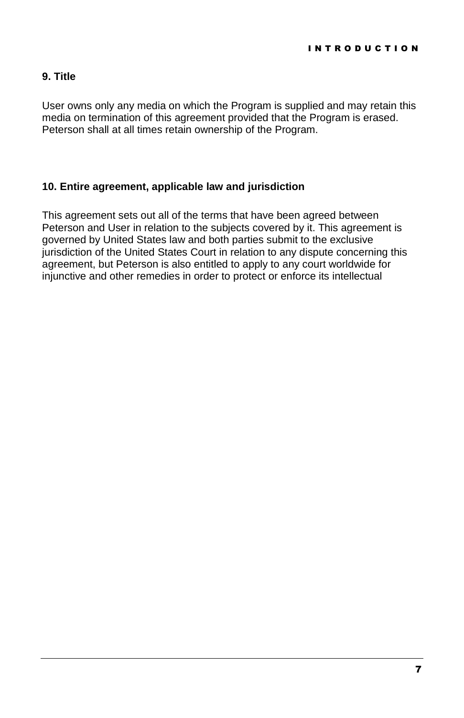#### **9. Title**

User owns only any media on which the Program is supplied and may retain this media on termination of this agreement provided that the Program is erased. Peterson shall at all times retain ownership of the Program.

#### **10. Entire agreement, applicable law and jurisdiction**

This agreement sets out all of the terms that have been agreed between Peterson and User in relation to the subjects covered by it. This agreement is governed by United States law and both parties submit to the exclusive jurisdiction of the United States Court in relation to any dispute concerning this agreement, but Peterson is also entitled to apply to any court worldwide for injunctive and other remedies in order to protect or enforce its intellectual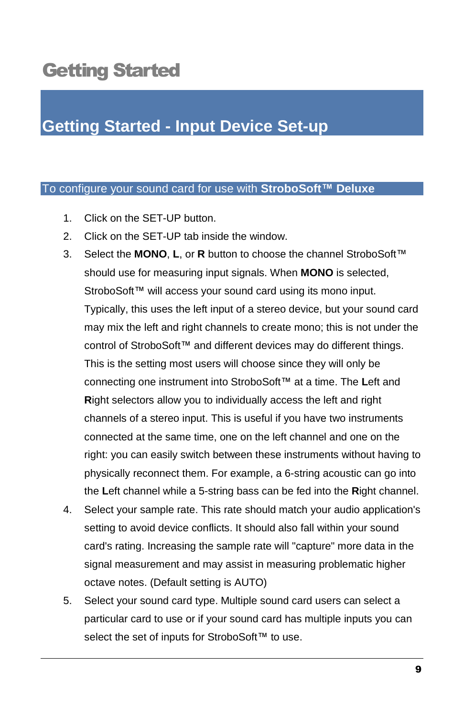### <span id="page-12-0"></span>Getting Started

### **Getting Started - Input Device Set-up**

#### To configure your sound card for use with **StroboSoftô Deluxe**

- 1. Click on the SET-UP button.
- 2. Click on the SET-UP tab inside the window.
- 3. Select the MONO, L, or R button to choose the channel StroboSoft™ should use for measuring input signals. When **MONO** is selected, StroboSoft™ will access your sound card using its mono input. Typically, this uses the left input of a stereo device, but your sound card may mix the left and right channels to create mono; this is not under the control of StroboSoft™ and different devices may do different things. This is the setting most users will choose since they will only be connecting one instrument into StroboSoft<sup>™</sup> at a time. The Left and **R**ight selectors allow you to individually access the left and right channels of a stereo input. This is useful if you have two instruments connected at the same time, one on the left channel and one on the right: you can easily switch between these instruments without having to physically reconnect them. For example, a 6-string acoustic can go into the Left channel while a 5-string bass can be fed into the Right channel.
- 4. Select your sample rate. This rate should match your audio application's setting to avoid device conflicts. It should also fall within your sound card's rating. Increasing the sample rate will "capture" more data in the signal measurement and may assist in measuring problematic higher octave notes. (Default setting is AUTO)
- 5. Select your sound card type. Multiple sound card users can select a particular card to use or if your sound card has multiple inputs you can select the set of inputs for StroboSoft™ to use.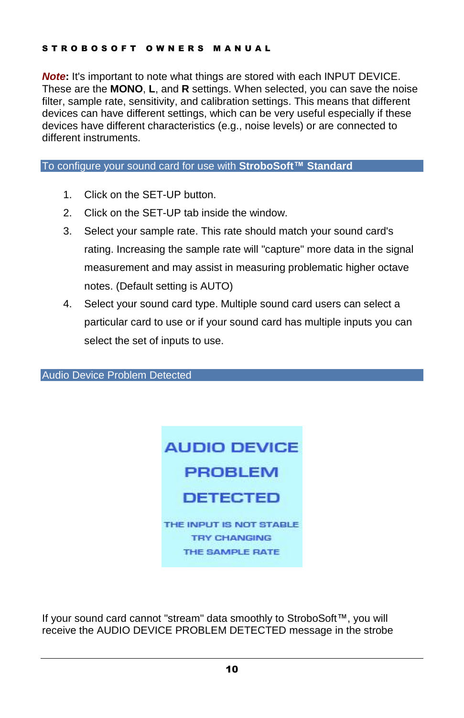#### STROBOSOFT OWNERS MANUAL

**Note:** It's important to note what things are stored with each INPUT DEVICE. These are the **MONO**, **L**, and **R** settings. When selected, you can save the noise filter, sample rate, sensitivity, and calibration settings. This means that different devices can have different settings, which can be very useful especially if these devices have different characteristics (e.g., noise levels) or are connected to different instruments.

#### To configure your sound card for use with **StroboSoftô Standard**

- 1. Click on the SET-UP button.
- 2. Click on the SET-UP tab inside the window.
- 3. Select your sample rate. This rate should match your sound card's rating. Increasing the sample rate will "capture" more data in the signal measurement and may assist in measuring problematic higher octave notes. (Default setting is AUTO)
- 4. Select your sound card type. Multiple sound card users can select a particular card to use or if your sound card has multiple inputs you can select the set of inputs to use.

Audio Device Problem Detected



If your sound card cannot "stream" data smoothly to StroboSoft™, you will receive the AUDIO DEVICE PROBLEM DETECTED message in the strobe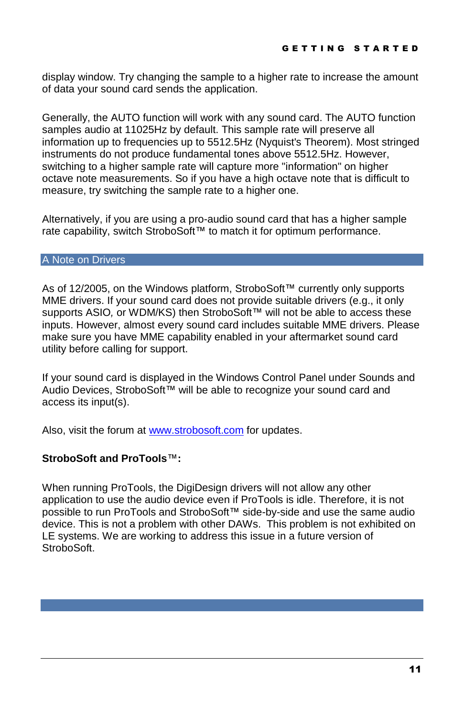display window. Try changing the sample to a higher rate to increase the amount of data your sound card sends the application.

Generally, the AUTO function will work with any sound card. The AUTO function samples audio at 11025Hz by default. This sample rate will preserve all information up to frequencies up to 5512.5Hz (Nyquist's Theorem). Most stringed instruments do not produce fundamental tones above 5512.5Hz. However, switching to a higher sample rate will capture more "information" on higher octave note measurements. So if you have a high octave note that is difficult to measure, try switching the sample rate to a higher one.

Alternatively, if you are using a pro-audio sound card that has a higher sample rate capability, switch StroboSoft™ to match it for optimum performance.

#### A Note on Drivers

As of 12/2005, on the Windows platform, StroboSoft™ currently only supports MME drivers. If your sound card does not provide suitable drivers (e.g., it only supports ASIO, or WDM/KS) then StroboSoft™ will not be able to access these inputs. However, almost every sound card includes suitable MME drivers. Please make sure you have MME capability enabled in your aftermarket sound card utility before calling for support.

If your sound card is displayed in the Windows Control Panel under Sounds and Audio Devices, StroboSoft™ will be able to recognize your sound card and access its input(s).

Also, visit the forum at [www.strobosoft.com](http://www.strobosoft.com) for updates.

#### **StroboSoft and ProTools**ô**:**

When running ProTools, the DigiDesign drivers will not allow any other application to use the audio device even if ProTools is idle. Therefore, it is not possible to run ProTools and StroboSoft™ side-by-side and use the same audio device. This is not a problem with other DAWs. This problem is not exhibited on LE systems. We are working to address this issue in a future version of StroboSoft.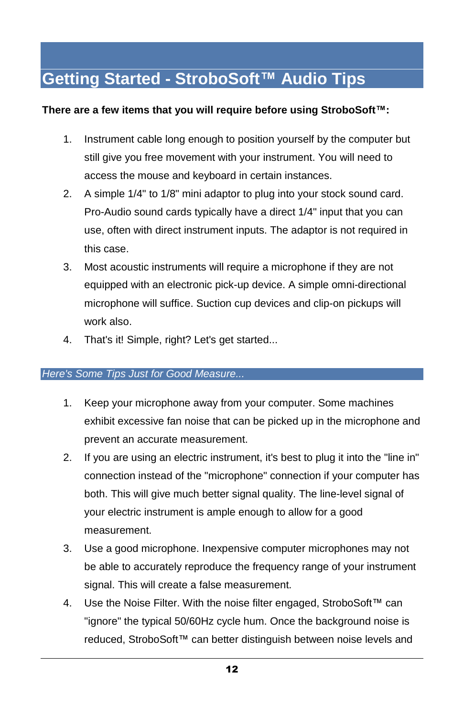### **Getting Started - StroboSoftô Audio Tips**

#### **There are a few items that you will require before using StroboSoftô:**

- 1. Instrument cable long enough to position yourself by the computer but still give you free movement with your instrument. You will need to access the mouse and keyboard in certain instances.
- 2. A simple 1/4" to 1/8" mini adaptor to plug into your stock sound card. Pro-Audio sound cards typically have a direct 1/4" input that you can use, often with direct instrument inputs. The adaptor is not required in this case.
- 3. Most acoustic instruments will require a microphone if they are not equipped with an electronic pick-up device. A simple omni-directional microphone will suffice. Suction cup devices and clip-on pickups will work also.
- 4. That's it! Simple, right? Let's get started...

#### Here's Some Tips Just for Good Measure...

- 1. Keep your microphone away from your computer. Some machines exhibit excessive fan noise that can be picked up in the microphone and prevent an accurate measurement.
- 2. If you are using an electric instrument, it's best to plug it into the "line in" connection instead of the "microphone" connection if your computer has both. This will give much better signal quality. The line-level signal of your electric instrument is ample enough to allow for a good measurement.
- 3. Use a good microphone. Inexpensive computer microphones may not be able to accurately reproduce the frequency range of your instrument signal. This will create a false measurement.
- 4. Use the Noise Filter. With the noise filter engaged, StroboSoft™ can "ignore" the typical 50/60Hz cycle hum. Once the background noise is reduced, StroboSoft™ can better distinguish between noise levels and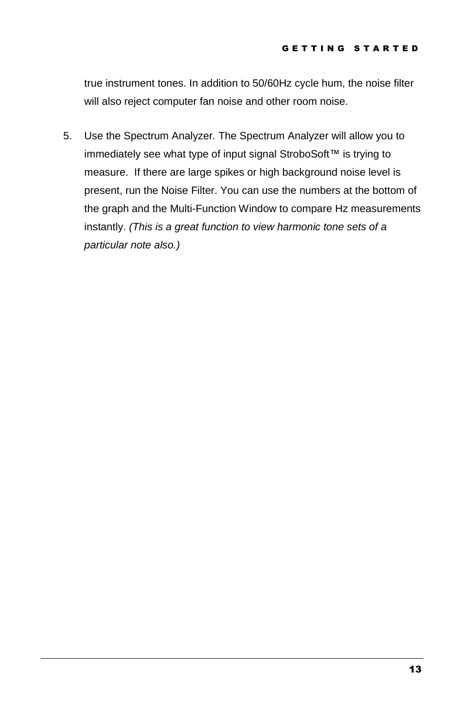true instrument tones. In addition to 50/60Hz cycle hum, the noise filter will also reject computer fan noise and other room noise.

5. Use the Spectrum Analyzer. The Spectrum Analyzer will allow you to immediately see what type of input signal StroboSoft™ is trying to measure. If there are large spikes or high background noise level is present, run the Noise Filter. You can use the numbers at the bottom of the graph and the Multi-Function Window to compare Hz measurements instantly. (This is a great function to view harmonic tone sets of a particular note also.)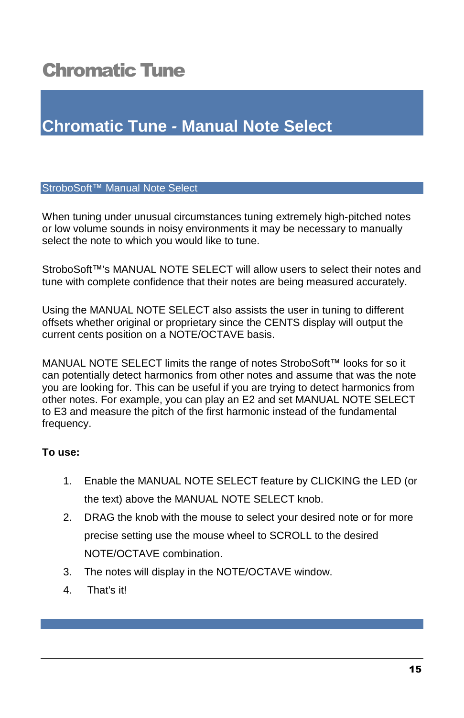### <span id="page-18-0"></span>Chromatic Tune

### **Chromatic Tune - Manual Note Select**

#### StroboSoft™ Manual Note Select

When tuning under unusual circumstances tuning extremely high-pitched notes or low volume sounds in noisy environments it may be necessary to manually select the note to which you would like to tune.

StroboSoft™'s MANUAL NOTE SELECT will allow users to select their notes and tune with complete confidence that their notes are being measured accurately.

Using the MANUAL NOTE SELECT also assists the user in tuning to different offsets whether original or proprietary since the CENTS display will output the current cents position on a NOTE/OCTAVE basis.

MANUAL NOTE SELECT limits the range of notes StroboSoft™ looks for so it can potentially detect harmonics from other notes and assume that was the note you are looking for. This can be useful if you are trying to detect harmonics from other notes. For example, you can play an E2 and set MANUAL NOTE SELECT to E3 and measure the pitch of the first harmonic instead of the fundamental frequency.

#### **To use:**

- 1. Enable the MANUAL NOTE SELECT feature by CLICKING the LED (or the text) above the MANUAL NOTE SELECT knob.
- 2. DRAG the knob with the mouse to select your desired note or for more precise setting use the mouse wheel to SCROLL to the desired NOTE/OCTAVE combination.
- 3. The notes will display in the NOTE/OCTAVE window.
- 4. That's it!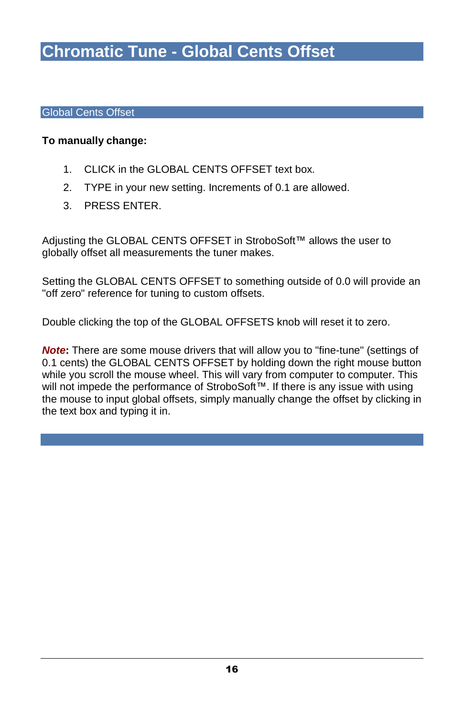### **Chromatic Tune - Global Cents Offset**

#### Global Cents Offset

#### **To manually change:**

- 1. CLICK in the GLOBAL CENTS OFFSET text box.
- 2. TYPE in your new setting. Increments of 0.1 are allowed.
- 3. PRESS ENTER.

Adjusting the GLOBAL CENTS OFFSET in StroboSoft™ allows the user to globally offset all measurements the tuner makes.

Setting the GLOBAL CENTS OFFSET to something outside of 0.0 will provide an "off zero" reference for tuning to custom offsets.

Double clicking the top of the GLOBAL OFFSETS knob will reset it to zero.

**Note:** There are some mouse drivers that will allow you to "fine-tune" (settings of 0.1 cents) the GLOBAL CENTS OFFSET by holding down the right mouse button while you scroll the mouse wheel. This will vary from computer to computer. This will not impede the performance of StroboSoft™. If there is any issue with using the mouse to input global offsets, simply manually change the offset by clicking in the text box and typing it in.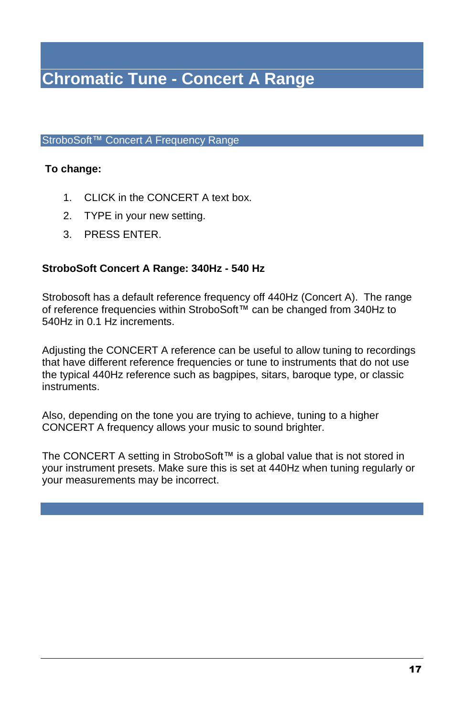StroboSoft™ Concert A Frequency Range

#### **To change:**

- 1. CLICK in the CONCERT A text box.
- 2. TYPE in your new setting.
- 3. PRESS ENTER.

#### **StroboSoft Concert A Range: 340Hz - 540 Hz**

Strobosoft has a default reference frequency off 440Hz (Concert A). The range of reference frequencies within StroboSoft™ can be changed from 340Hz to 540Hz in 0.1 Hz increments.

Adjusting the CONCERT A reference can be useful to allow tuning to recordings that have different reference frequencies or tune to instruments that do not use the typical 440Hz reference such as bagpipes, sitars, baroque type, or classic instruments.

Also, depending on the tone you are trying to achieve, tuning to a higher CONCERT A frequency allows your music to sound brighter.

The CONCERT A setting in StroboSoft™ is a global value that is not stored in your instrument presets. Make sure this is setat 440Hz when tuning regularly or your measurements may be incorrect.

C H R O M AT I C H R O M AT I C T U N E WAS CITED FOR A LITTLE WAY OF THE CHARGE OF THE CHARGE OF THE CHARGE O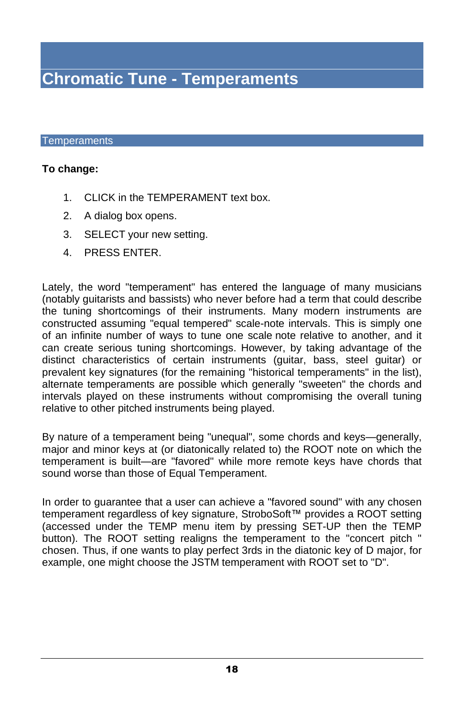### **Chromatic Tune - Temperaments**

#### Temperaments

#### **To change:**

- 1. CLICK in the TEMPERAMENT text box.
- 2. A dialog box opens.
- 3. SELECT your new setting.
- 4. PRESS ENTER.

Lately, the word "temperament" has entered the language of many musicians (notably guitarists and bassists) who never before had a term that could describe the tuning shortcomings of their instruments. Many modern instruments are constructed assuming "equal tempered" scale-note intervals. This is simply one of an infinite number of ways to tune one scale note relative to another, and it can create serious tuning shortcomings. However, by taking advantage of the distinct characteristics of certain instruments (guitar, bass, steel guitar) or prevalent key signatures (for the remaining "historical temperaments" in the list), alternate temperaments are possible which generally "sweeten" the chords and intervals played on these instruments without compromising the overall tuning relative to other pitched instruments being played.

By nature of a temperament being "unequal", some chords and keys—generally, major and minor keys at (or diatonically related to) the ROOT note on which the temperament is built—are "favored" while more remote keys have chords that sound worse than those of Equal Temperament.

In order to guarantee that a user can achieve a "favored sound" with any chosen temperament regardless of key signature, StroboSoft™ provides a ROOT setting (accessed under the TEMP menu item by pressing SET-UP then the TEMP button). The ROOT setting realigns the temperament to the "concert pitch " chosen. Thus, if one wants to play perfect 3rds in the diatonic key of D major, for example, one might choose the JSTM temperament with ROOT set to "D".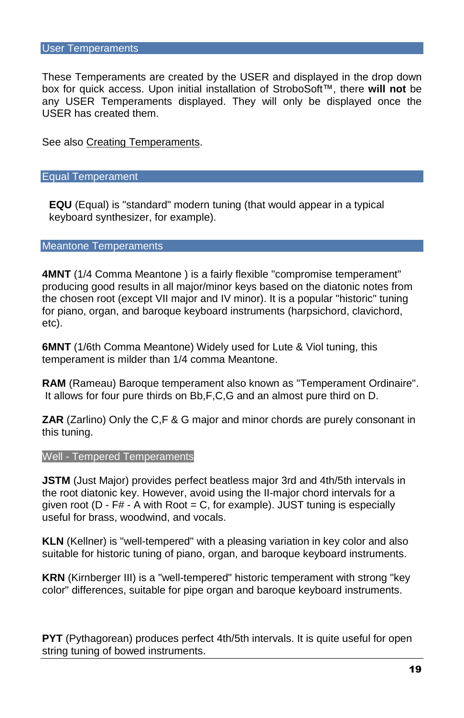#### User Temperaments

These Temperaments are created by the USER and displayed in the drop down box for quick access. Upon initial installation of StroboSoft™, there will not be any USER Temperaments displayed. They will only be displayed once the USER has created them.

C H R O M AT I C H R O M AT I C T U N E WAS CITED FOR A LITTLE WAY OF THE CHARGE OF THE CHARGE OF THE CHARGE O

See also Creating Temperaments.

#### Equal Temperament

**EQU** (Equal) is "standard" modern tuning (that would appear in a typical keyboard synthesizer, for example).

#### Meantone Temperaments

**4MNT** (1/4 Comma Meantone) is a fairly flexible "compromise temperament" producing good results in all major/minor keys based on the diatonic notes from the chosen root (except VII major and IV minor). It is a popular "historic" tuning for piano, organ, and baroque keyboard instruments (harpsichord, clavichord, etc).

**6MNT** (1/6th Comma Meantone) Widely used for Lute & Viol tuning, this temperament is milder than 1/4 comma Meantone.

**RAM** (Rameau) Baroque temperament also known as "Temperament Ordinaire". It allows for four pure thirds on Bb,F,C,G and an almost pure third on D.

**ZAR** (Zarlino) Only the C,F & G major and minor chords are purely consonant in this tuning.

#### Well - Tempered Temperaments

**JSTM** (Just Major) provides perfect beatless major 3rd and 4th/5th intervals in the root diatonic key. However, avoid using the II-major chord intervals for a given root ( $D - F# - A$  with Root = C, for example). JUST tuning is especially useful for brass, woodwind, and vocals.

**KLN** (Kellner) is "well-tempered" with a pleasing variation in key color and also suitable for historic tuning of piano, organ, and baroque keyboard instruments.

**KRN** (Kirnberger III) is a "well-tempered" historic temperament with strong "key color" differences, suitable for pipe organ and baroque keyboard instruments.

**PYT** (Pythagorean) produces perfect 4th/5th intervals. It is quite useful for open string tuning of bowed instruments.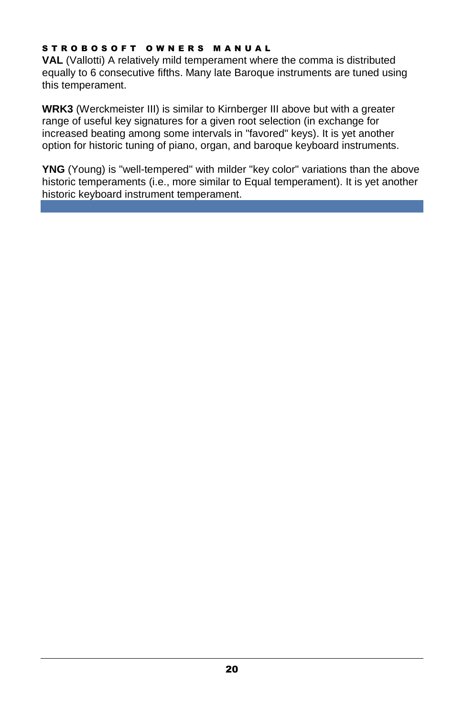#### STROBOSOFT OWNERS MANUAL

**VAL** (Vallotti) A relatively mild temperament where the comma is distributed equally to 6 consecutive fifths. Many late Baroque instruments are tuned using this temperament.

**WRK3** (Werckmeister III) is similar to Kirnberger III above but with a greater range of useful key signatures for a given root selection (in exchange for increased beating among some intervals in "favored" keys). It is yet another option for historic tuning of piano, organ, and baroque keyboard instruments.

**YNG** (Young) is "well-tempered'' with milder "key color" variations than the above historic temperaments (i.e., more similar to Equal temperament). It is yet another historic keyboard instrument temperament.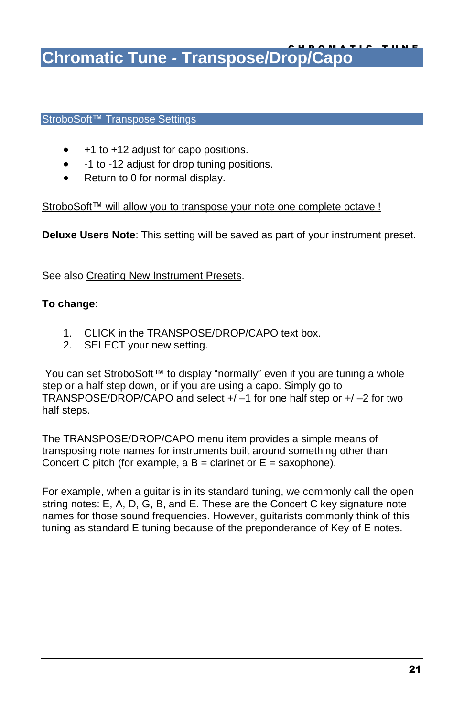**Chromatic Tune - Transpose/Drop/Capo** 

#### StroboSoft™ Transpose Settings

- +1 to +12 adjust for capo positions.
- -1 to -12 adjust for drop tuning positions.
- Return to 0 for normal display.

StroboSoft™ will allow you to transpose your note one complete octave !

**Deluxe Users Note**: This setting will be saved as part of your instrument preset.

See also Creating New Instrument Presets.

#### **To change:**

- 1. CLICK in the TRANSPOSE/DROP/CAPO text box.
- 2. SELECT your new setting.

You can set StroboSoft™ to display "normally" even if you are tuning a whole [step](javascript:kadovTextPopup(this)) or a half step down, or if you are using a capo. Simply go to TRANSP[OSE/DRO](javascript:kadovTextPopup(this))P/CAPO and select  $+/-1$  for one half step or  $+/-2$  for two half steps.

The TRANSPOSE/DROP/CAPO menu item provides a simple means of transposing note names for instruments built around something other than Concert C [pitch](javascript:kadovTextPopup(this)) (for example,  $a B =$  clarinet or  $E =$  saxophone).

For example, when a guitar is in its standard tuning, we commonly call the open [string](javascript:kadovTextPopup(this)) notes: E, A, D, G, B, and E. These are the Concert C key signature note names for those sound frequencies. However, guitarists co[mmo](javascript:kadovTextPopup(this))nly think of this tuning as standard E tuning because of the preponderance of Key of E notes.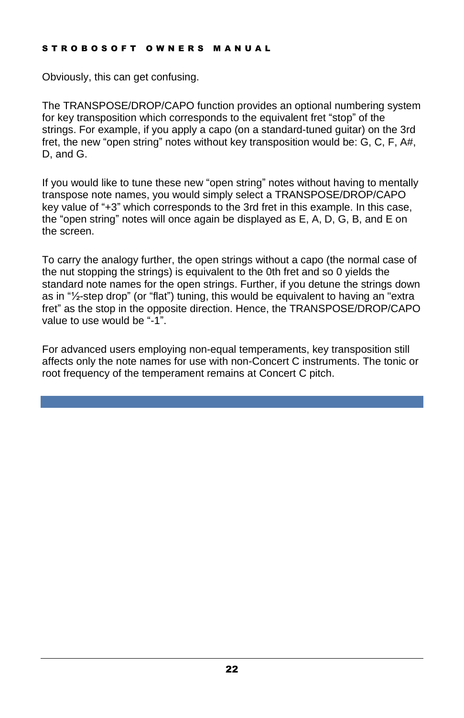#### STROBOSOFT OWNERS MANUAL

Obviously, this can get confusing.

The TRANSPOSE/DROP/CAPO function provides an optional numbering system for key transposition which corresponds to the equivalent fret "stop" of the strings. For example, if you apply a capo (on a standard-tuned guitar) on the 3rd fret, the new "open string" notes without key transposition would be:  $G, C, F, A\#$ , D, and G.

If you would like to tune these new "open string" notes without having to mentally transpose note names, you would simply select a TRANSPOSE/DROP/CAPO key value of "+3" which corresponds to the 3rd fret in this example. In this case, the "open string" notes will once again be displayed as  $E$ , A, D, G, B, and  $E$  on the screen.

To carry the analogy further, the open strings without a capo (the normal case of the nut stopping the strings) is equivalent to the 0th fret and so 0 yields the standard note names for the open strings. Further, if you detune the strings down as in  $\frac{4}{2}$ -step drop" (or "flat") tuning, this would be equivalent to having an "extra fret" as the stop in the opposite direction. Hence, the TRANSPOSE/DROP/CAPO value to use would be  $-1$ .

For advanced users employing non-equal temperaments, key transposition still affects only the note names for use with non-Concert C instruments. The tonic or root frequency of the temperament remains at Concert C pitch.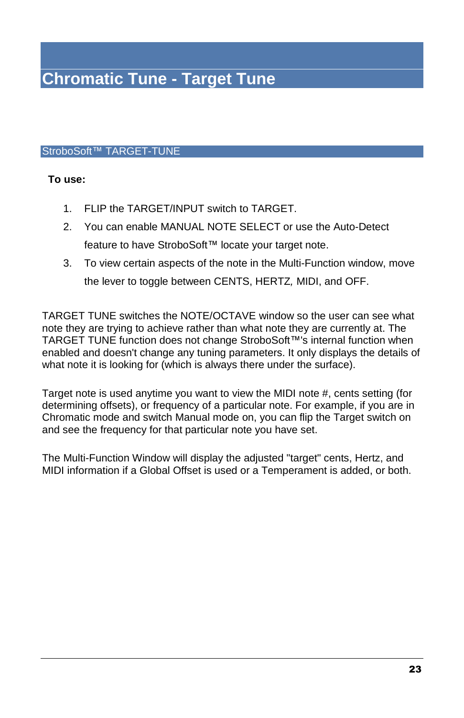#### StroboSoft™ TARGET-TUNE

#### **To use:**

- 1. FLIP the TARGET/INPUT switch to TARGET.
- 2. You can enable MANUAL NOTE SELECT or use the Auto-Detect feature to have StroboSoft™ locate your target note.
- 3. To view certain aspects of the note in the Multi-Function window, move the lever to toggle between CENTS, HERTZ, MIDI, and OFF.

TARGET TUNE switches the NOTE/OCTAVE window so the user can see what note they are trying to achieve rather than what note they are currently at. The TARGET TUNE function does not change StroboSoft™'s internal function when enabled and doesn't change any tuning parameters. It only displays the details of what note it is looking for (which is always there under the surface).

Target note is used anytime you want to view the MIDI note #, cents setting (for determining offsets), or frequency of a particular note. For example, if you are in Chromatic mode and switch Manual mode on, you can flip the Target switch on and see the frequency for that particular note you have set.

The Multi-Function Window will display the adjusted "target" cents, Hertz, and MIDI information if a Global Offset is used or a Temperament is added, or both.

C H R O M AT I C H R O M AT I C T U N E WAS CITED FOR A LITTLE WAY OF THE CHARGE OF THE CHARGE OF THE CHARGE O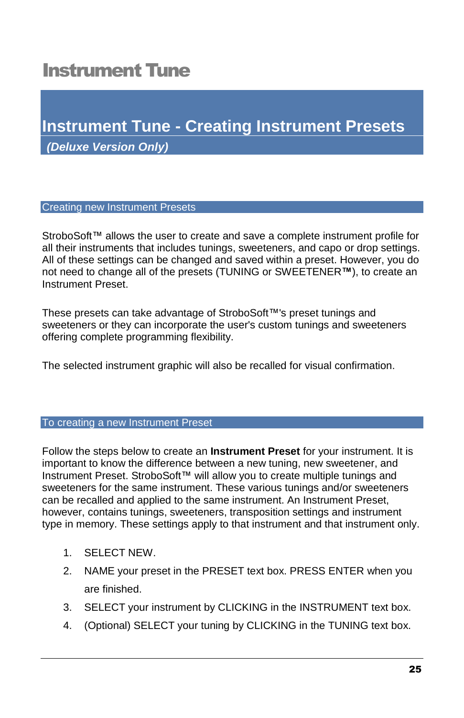### <span id="page-28-0"></span>Instrument Tune

### **Instrument Tune - Creating Instrument Presets (Deluxe Version Only)**

#### Creating new Instrument Presets

StroboSoft™ allows the user to create and save a complete instrument profile for all their instruments that includes tunings, sweeteners, and capo or drop settings. All of these settings can be changed and saved within a preset. However, you do not need to change all of the presets (TUNING or SWEETENER<sup>™</sup>), to create an Instrument Preset.

These presets can take advantage of StroboSoft™'s preset tunings and sweeteners or they can incorporate the user's custom tunings and sweeteners offering complete programming flexibility.

The selected instrument graphic will also be recalled for visual confirmation.

#### To creating a new Instrument Preset

Follow the steps below to create an **Instrument Preset** for your instrument. It is important to know the difference between a new tuning, new sweetener, and Instrument Preset. StroboSoft™ will allow you to create multiple tunings and sweeteners for the same instrument. These various tunings and/or sweeteners can be recalled and applied to the same instrument. An Instrument Preset, however, contains tunings, sweeteners, transposition settings and instrument type in memory. These settings apply to that instrument and that instrument only.

- 1. SELECT NEW.
- 2. NAME your preset in the PRESET text box. PRESS ENTER when you are finished.
- 3. SELECT your instrument by CLICKING in the INSTRUMENT text box.
- 4. (Optional) SELECT your tuning by CLICKING in the TUNING text box.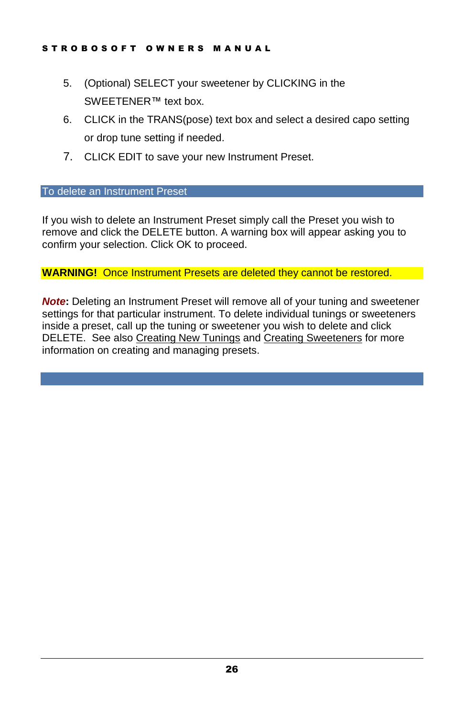- 5. (Optional) SELECT your sweetener by CLICKING in the SWEETENER™ text box.
- 6. CLICK in the TRANS(pose) text box and select a desired capo setting or drop tune setting if needed.
- 7. CLICK EDIT to save your new Instrument Preset.

#### To delete an Instrument Preset

If you wish to delete an Instrument Preset simply call the Preset you wish to remove and click the DELETE button. A warning box will appear asking you to confirm your selection. Click OK to proceed.

#### **WARNING!** Once Instrument Presets are deleted they cannot be restored.

**Note:** Deleting an Instrument Preset will remove all of your tuning and sweetener settings for that particular instrument. To delete individual tunings or sweeteners inside a preset, call up the tuning or sweetener you wish to delete and click DELETE. See also Creating New Tunings and Creating Sweeteners for more information on creating and managing presets.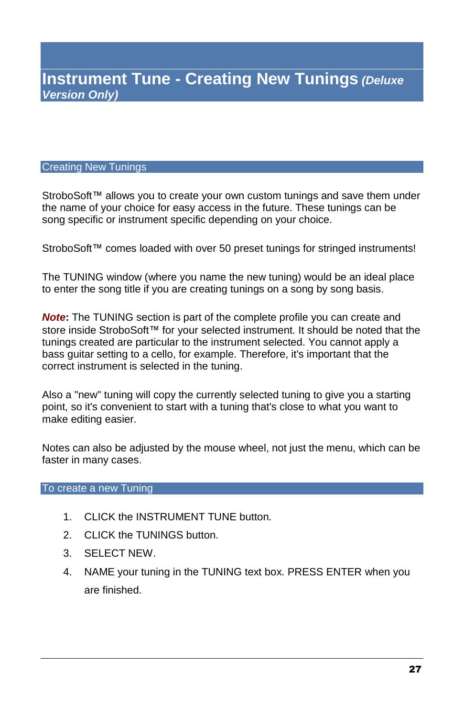I N S T R U M E N T T U N E

#### Creating New Tunings

StroboSoft™ allows you to create your own custom tunings and save them under the name of your choice for easy access in the future. These tunings can be song specific or instrument specific depending on your choice.

StroboSoft™ comes loaded with over 50 preset tunings for stringed instruments!

The TUNING window (where you name the new tuning) would be an ideal place to enter the song title if you are creating tunings on a song by song basis.

**Note:** The TUNING section is part of the complete profile you can create and store inside StroboSoft™ for your selected instrument. It should be noted that the tunings created are particular to the instrument selected. You cannot apply a bass guitar setting to a cello, for example. Therefore, it's important that the correct instrument is selected in the tuning.

Also a "new" tuning will copy the currently selected tuning to give you a starting point, so it's convenient to start with a tuning that's close to what you want to make editing easier.

Notes can also be adjusted by the mouse wheel, not just the menu, which can be faster in many cases.

To create a new Tuning

- 1. CLICK the INSTRUMENT TUNE button.
- 2. CLICK the TUNINGS button.
- 3. SELECT NEW.
- 4. NAME your tuning in the TUNING text box. PRESS ENTER when you are finished.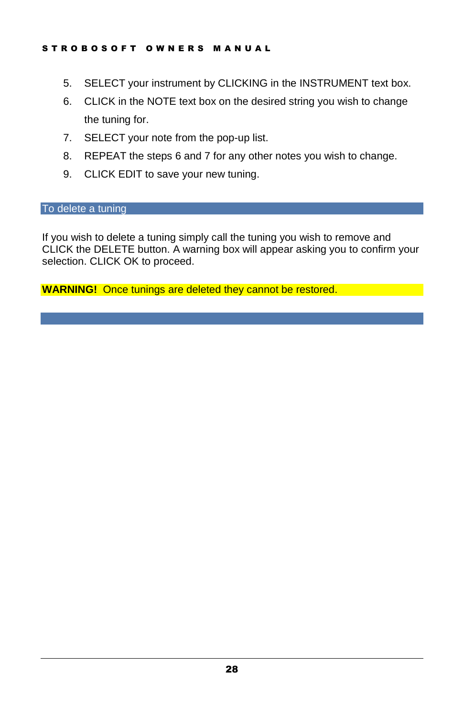- 5. SELECT your instrument by CLICKING in the INSTRUMENT text box.
- 6. CLICK in the NOTE text box on the desired string you wish to change the tuning for.
- 7. SELECT your note from the pop-up list.
- 8. REPEAT the steps 6 and 7 for any other notes you wish to change.
- 9. CLICK EDIT to save your new tuning.<br>To delete a tuning

If you wish to delete a tuning simply call the tuning you wish to remove and CLICK the DELETE button. A warning box will appear asking you to confirm your selection. CLICK OK to proceed.

**WARNING!** Once tunings are deleted they cannot be restored.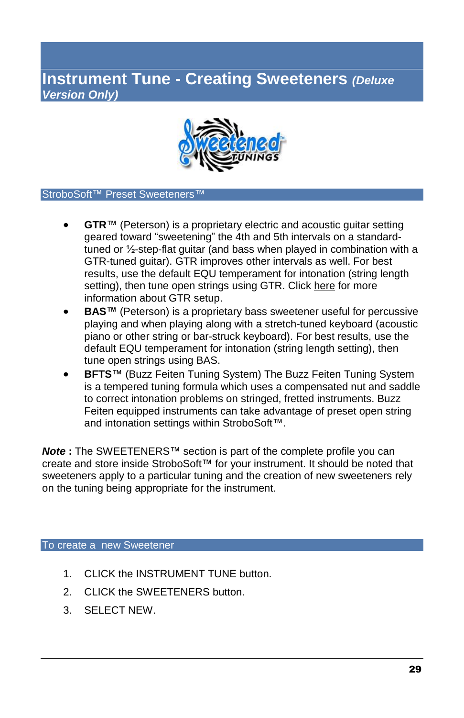### **Instrument Tune - Creating Sweeteners (Deluxe Version Only)**

I N S T R U M E N T T U N E



#### StroboSoft™ Preset Sweeteners<sup>1</sup>

- GTR™ (Peterson) is a proprietary electric and acoustic guitar setting geared toward "sweetening" the 4th and 5th intervals on a standardtuned or ½-step-flat guitar (and bass when played in combination with a GTR-tuned guitar). GTR improves other intervals as well. For best results, use the default EQU temperament for intonation (string length setting), then tune open strings using GTR. Click here for more information about GTR setup.
- **BAS<sup>™</sup>** (Peterson) is a proprietary bass sweetener useful for percussive playing and when playing along with a stretch-tuned keyboard (acoustic piano or other string or bar-struck keyboard). For best results, use the default EQU temperament for intonation (string length setting), then tune open strings using BAS.
- **BFTS**™ (Buzz Feiten Tuning System) The Buzz Feiten Tuning System is a tempered tuning formula which uses a compensated nut and saddle to correct intonation problems on stringed, fretted instruments. Buzz Feiten equipped instruments can take advantage of preset open string and intonation settings within StroboSoft™.

**Note** : The SWEETENERS<sup>™</sup> section is part of the complete profile you can create and store inside StroboSoft™ for your instrument. It should be noted that sweeteners apply to a particular tuning and the creation of new sweeteners rely on the tuning being appropriate for the instrument.

#### To create a new Sweetener

- 1. CLICK the INSTRUMENT TUNE button.
- 2. CLICK the SWEETENERS button.
- 3. SELECT NEW.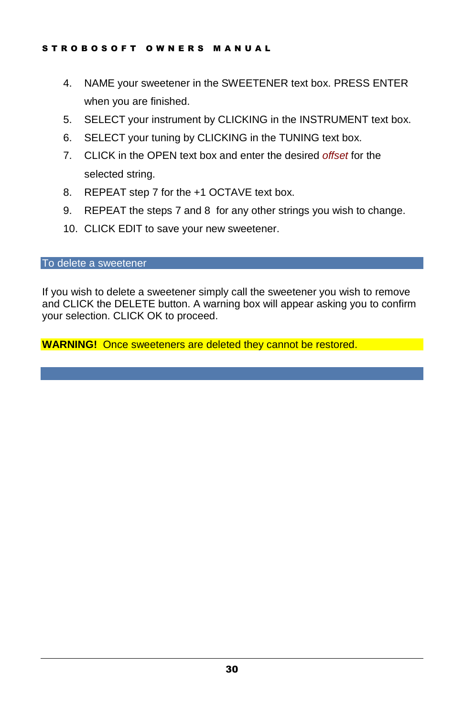- 4. NAME your sweetener in the SWEETENER text box. PRESS ENTER when you are finished.
- 5. SELECT your instrument by CLICKING in the INSTRUMENT text box.
- 6. SELECT your tuning by CLICKING in the TUNING text box.
- 7. CLICK in the OPEN text box and enter the desired offset for the selected string.
- 8. REPEAT step 7 for the +1 OCTAVE text box.
- 9. REPEAT the steps 7 and 8 for any other strings you wish to change.
- 10. CLICK EDIT to save your new sweetener.

To delete a sweetener

If you wish to delete a sweetener simply call the sweetener you wish to remove and CLICK the DELETE button. A warning box will appear asking you to confirm your selection. CLICK OK to proceed.

**WARNING!** Once sweeteners are deleted they cannot be restored.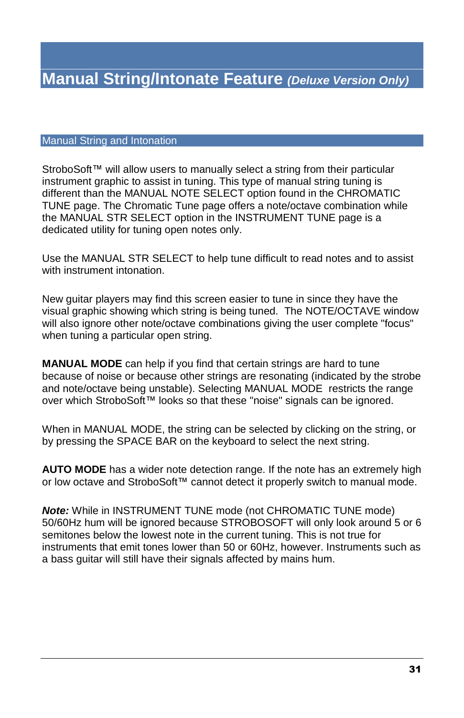I N S T R U M E N T T U N E

#### Manual String and Intonation

StroboSoft<sup> $m$ </sup> will allow users to manually select a string from their particular instrument graphic to assist in tuning. This type of manual string tuning is different than the MANUAL NOTE SELECT option found in the CHROMATIC TUNE page. The Chromatic Tune page offers a note/octave combination while the MANUAL STR SELECT option in the INSTRUMENT TUNE page is a dedicated utility for tuning open notes only.

Use the MANUAL STR SELECT to help tune difficult to read notes and to assist with instrument intonation.

New guitar players may find this screen easier to tune in since they have the visual graphic showing which string is being tuned. The NOTE/OCTAVE window will also ignore other note/octave combinations giving the user complete "focus" when tuning a particular open string.

**MANUAL MODE** can help if you find that certain strings are hard to tune because of noise or because other strings are resonating (indicated by the strobe and note/octave being unstable). Selecting MANUAL MODE restricts the range over which StroboSoft™ looks so that these "noise" signals can be ignored.

When in MANUAL MODE, the string can be selected by clicking on the string, or by pressing the SPACE BAR on the keyboard to select the next string.

**AUTO MODE** has a wider note detection range. If the note has an extremely high or low octave and StroboSoft™ cannot detect it properly switch to manual mode.

**Note:** While in INSTRUMENT TUNE mode (not CHROMATIC TUNE mode) 50/60Hz hum will be ignored because STROBOSOFT will only look around 5 or 6 semitones below the lowest note in the current tuning. This is not true for instruments that emit tones lower than 50 or 60Hz, however. Instruments such as a bass guitar will still have their signals affected by mains hum.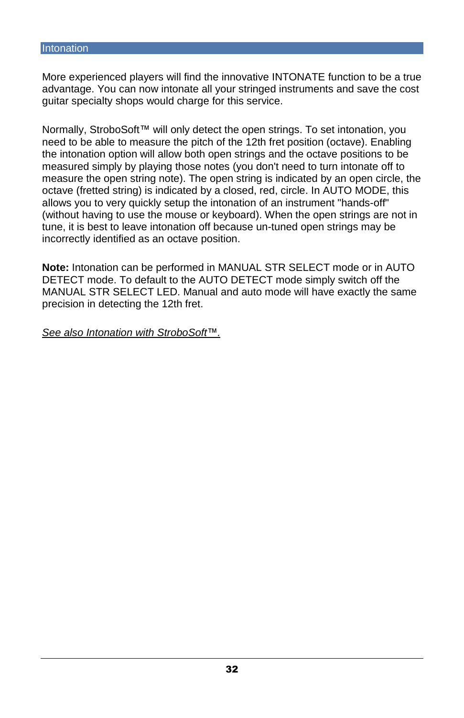More experienced players will find the innovative INTONATE function to be a true advantage. You can now intonate all your stringed instruments and save the cost guitar specialty shops would charge for this service.

Normally, StroboSoft™ will only detect the open strings. To set intonation, you need to be able to measure the pitch of the 12th fret position (octave). Enabling the intonation option will allow both open strings and the octave positions to be measured simply by playing those notes (you don't need to turn intonate off to measure the open string note). The open string is indicated by an open circle, the octave (fretted string) is indicated by a closed, red, circle. In AUTO MODE, this allows you to very quickly setup the intonation of an instrument "hands-off" (without having to use the mouse or keyboard). When the open strings are not in tune, it is best to leave intonation off because un-tuned open strings may be incorrectly identified as an octave position.

**Note:** Intonation can be performed in MANUAL STR SELECT mode or in AUTO DETECT mode. To default to the AUTO DETECT mode simply switch off the MANUAL STR SELECT LED. Manual and auto mode will have exactly the same precision in detecting the 12th fret.

See also Intonation with StroboSoft<sup>™</sup>.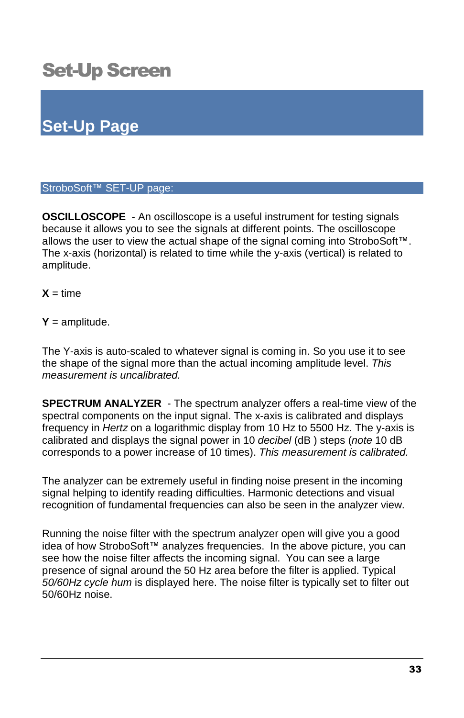# Set-Up Screen

# **Set-Up Page**

#### StroboSoft™ SET-UP page:

**OSCILLOSCOPE** - An oscilloscope is a useful instrument for testing signals because it allows you to see the signals at different points. The oscilloscope allows the user to view the actual shape of the signal coming into StroboSoft™. The x-axis (horizontal) is related to time while the y-axis (vertical) is related to amplitude.

 $X = time$ 

#### $Y =$ amplitude.

The Y-axis is auto-scaled to whatever signal is coming in. So you use it to see the shape of the signal more than the actual incoming amplitude level. This measurement is uncalibrated.

**SPECTRUM ANALYZER** - The spectrum analyzer offers a real-time view of the spectral components on the input signal. The x-axis is calibrated and displays frequency in Hertz on a logarithmic display from 10 Hz to 5500 Hz. The y-axis is calibrated and displays the signal power in 10 decibel (dB ) steps (note 10 dB corresponds to a power increase of 10 times). This measurement is calibrated.

The analyzer can be extremely useful in finding noise present in the incoming signal helping to identify reading difficulties. Harmonic detections and visual recognition of fundamental frequencies can also be seen in the analyzer view.

Running the noise filter with the spectrum analyzer open will give you a good idea of how StroboSoft™ analyzes frequencies. In the above picture, you can see how the noise filter affects the incoming signal. You can see a large presence of signal around the 50 Hz area before the filter is applied. Typical 50/60Hz cycle hum is displayed here. The noise filter is typically set to filter out 50/60Hz noise.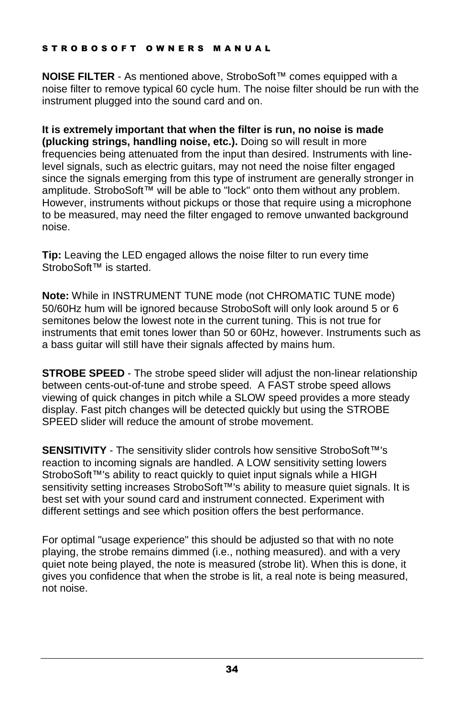#### STROBOSOFT OWNERS MANUAL

**NOISE FILTER** - As mentioned above, StroboSoft™ comes equipped with a noise filter to remove typical 60 cycle hum. The noise filter should be run with the instrument plugged into the sound card and on.

**It is extremely important that when the filter is run, no noise is made (plucking strings, handling noise, etc.).** Doing so will result in more frequencies being attenuated from the input than desired. Instruments with linelevel signals, such as electric guitars, may not need the noise filter engaged since the signals emerging from this type of instrument are generally stronger in amplitude. StroboSoft™ will be able to "lock" onto them without any problem. However, instruments without pickups or those that require using a microphone to be measured, may need the filter engaged to remove unwanted background noise.

**Tip:** Leaving the LED engaged allows the noise filter to run every time StroboSoft<sup>™</sup> is started.

**Note:** While in INSTRUMENT TUNE mode (not CHROMATIC TUNE mode) 50/60Hz hum will be ignored because StroboSoft will only look around 5 or 6 semitones below the lowest note in the current tuning. This is not true for instruments that emit tones lower than 50 or 60Hz, however. Instruments such as a bass guitar will still have their signals affected by mains hum.

**STROBE SPEED** - The strobe speed slider will adjust the non-linear relationship between cents-out-of-tune and strobe speed. A FAST strobe speed allows viewing of quick changes in pitch while a SLOW speed provides a more steady display. Fast pitch changes will be detected quickly but using the STROBE SPEED slider will reduce the amount of strobe movement.

**SENSITIVITY** - The sensitivity slider controls how sensitive StroboSoft™'s reaction to incoming signals are handled. A LOW sensitivity setting lowers StroboSoft™'s ability to react quickly to quiet input signals while a HIGH sensitivity setting increases StroboSoft<sup>™'s</sup> ability to measure quiet signals. It is best set with your sound card and instrument connected. Experiment with different settings and see which position offers the best performance.

For optimal "usage experience" this should be adjusted so that with no note playing, the strobe remains dimmed (i.e., nothing measured). and with a very quiet note being played, the note is measured (strobe lit). When this is done, it gives you confidence that when the strobe is lit, a real note is being measured, not noise.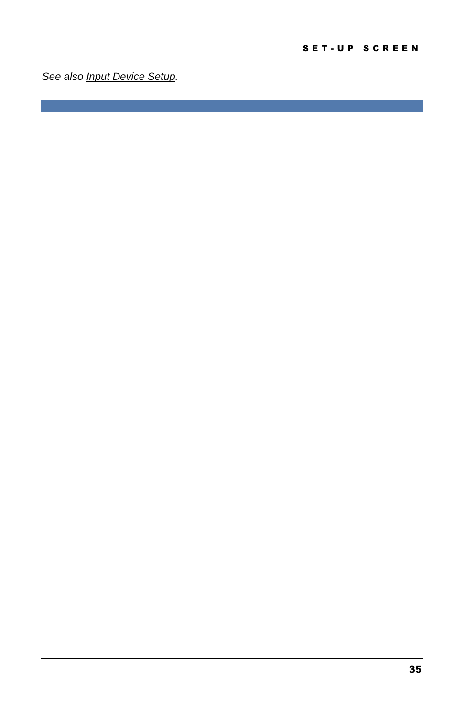See also **Input Device Setup**.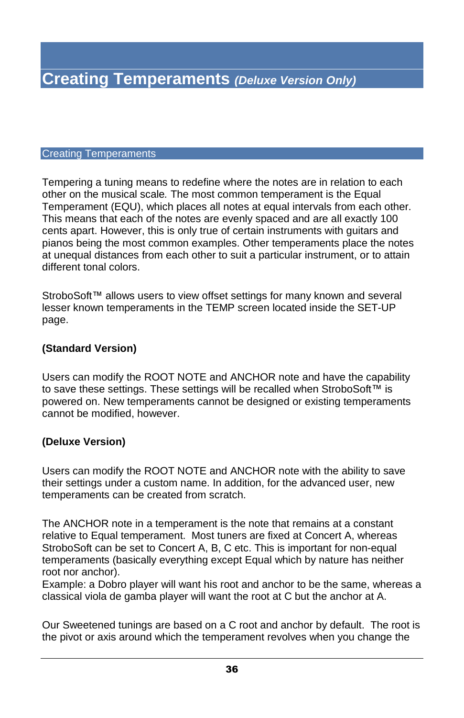#### Creating Temperaments

Tempering a tuning means to redefine where the notes are in relation to each other on the musical scale. The most common temperament is the Equal Temperament (EQU), which places all notes at equal intervals from each other. This means that each of the notes are evenly spaced and are all exactly 100 cents apart. However, this is only true of certain instruments with guitars and pianos being the most common examples. Other temperaments place the notes at unequal distances from each other to suit a particular instrument, or to attain different tonal colors.

StroboSoft™ allows users to view offset settings for many known and several lesser known temperaments in the TEMP screen located inside the SET-UP page.

#### **(Standard Version)**

Users can modify the ROOT NOTE and ANCHOR note and have the capability to save these settings. These settings will be recalled when StroboSoft™ is powered on. New temperaments cannot be designed or existing temperaments cannot be modified, however.

#### **(Deluxe Version)**

Users can modify the ROOT NOTE and ANCHOR note with the ability to save their settings under a custom name. In addition, for the advanced user, new temperaments can be created from scratch.

The ANCHOR note in a temperament is the note that remains at a constant relative to Equal temperament. Most tuners are fixed at Concert A, whereas StroboSoft can be set to Concert A, B, C etc. This is important for non-equal temperaments (basically everything except Equal which by nature has neither root nor anchor).

Example: a Dobro player will want his root and anchor to be the same, whereas a classical viola de gamba player will want the root at C but the anchor at A.

Our Sweetened tunings are based on a C root and anchor by default. The rootis the pivot or axis around which the temperament revolves when you change the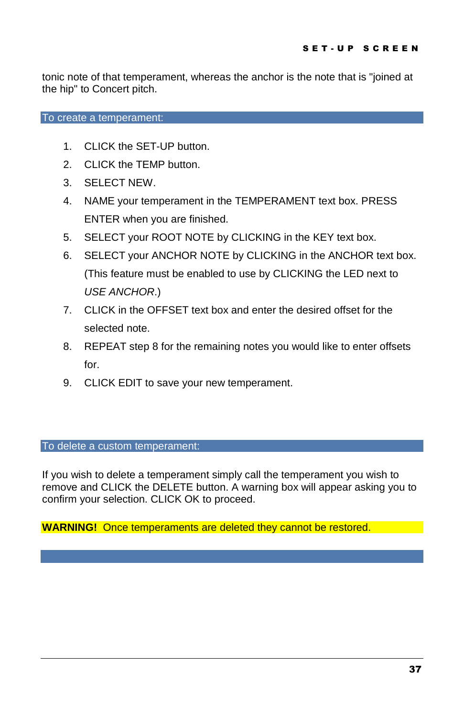tonic note of that temperament, whereas the anchor is the note that is "joined at the hip" to Concert pitch.

To create a temperament:

- 1. CLICK the SET-UP button.
- 2. CLICK the TEMP button.
- 3. SELECT NEW.
- 4. NAME your temperament in the TEMPERAMENT text box. PRESS ENTER when you are finished.
- 5. SELECT your ROOT NOTE by CLICKING in the KEY text box.
- 6. SELECT your ANCHOR NOTE by CLICKING in the ANCHOR text box. (This feature must be enabled to use by CLICKING theLED next to USE ANCHOR.)
- 7. CLICK in the OFFSET text box and enter the desired offset for the selected note.
- 8. REPEAT step 8 for the remaining notes you would like to enter offsets for.
- 9. CLICK EDIT to save your new temperament.

#### To delete a custom temperament:

If you wish to delete a temperament simply call the temperament you wish to remove and CLICK the DELETE button. A warning box will appear asking you to confirm your selection. CLICK OK to proceed.

**WARNING!** Once temperaments are deleted they cannot be restored.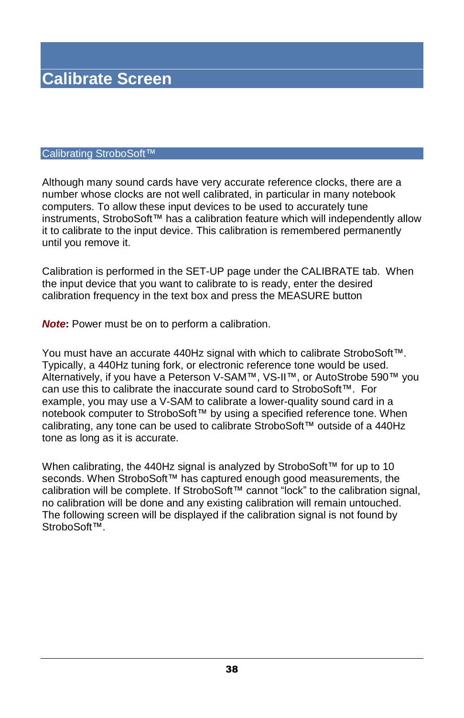#### Calibrating StroboSoft™

Although many sound cards have very accurate reference clocks, there are a number whose clocks are not well calibrated, in particular in many notebook computers. To allow these input devices to be used to accurately tune instruments, StroboSoft™ has a calibration feature which will independently allow it to calibrate to the input device. This calibration is remembered permanently until you remove it.

Calibration is performed in the SET-UP page under the CALIBRATE tab. When the input device that you want to calibrate to is ready, enter the desired calibration frequency in the text box and press the MEASURE button

**Note:** Power must be on to perform a calibration.

You must have an accurate 440Hz signal with which to calibrate StroboSoft $\mathbb{M}$ . Typically, a 440Hz tuning fork, or electronic reference tone would be used. Alternatively, if you have a Peterson V-SAM™, VS-II™, or AutoStrobe 590™ you can use this to calibrate the inaccurate sound card to StroboSoft™. For example, you may use a V-SAM to calibrate a lower-quality sound card in a notebook computer to StroboSoft™ by using a specified reference tone. When calibrating, any tone can be used to calibrate StroboSoft<sup>™</sup> outside of a 440Hz tone as long as it is accurate.

When calibrating, the 440Hz signal is analyzed by StroboSoft™ for up to 10 seconds. When StroboSoft™ has captured enough good measurements, the calibration will be complete. If StroboSoft<sup>™</sup> cannot "lock" to the calibration signal, no calibration will be done and any existing calibration will remain untouched. The following screen will be displayed if the calibration signal is not found by StroboSoft<sup>™</sup>.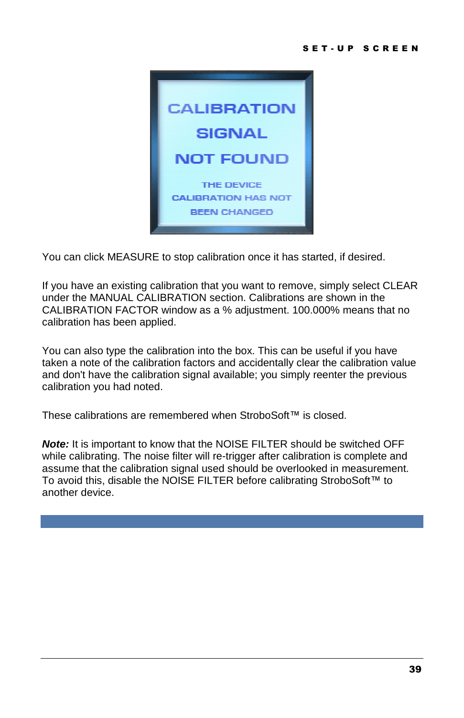

You can click MEASURE to stop calibration once it has started, if desired.

If you have an existing calibration that you want to remove, simply select CLEAR under the MANUAL CALIBRATION section. Calibrations are shown in the CALIBRATION FACTOR window as a % adjustment. 100.000% means that no calibration has been applied.

You can also type the calibration into the box. This can be useful if you have taken a note of the calibration factors and accidentally clear the calibration value and don't have the calibration signal available; you simply reenter the previous calibration you had noted.

These calibrations are remembered when StroboSoft™ is closed.

**Note:** It is important to know that the NOISE FILTER should be switched OFF while calibrating. The noise filter will re-trigger after calibration is complete and assume that the calibration signal used should be overlooked in measurement. To avoid this, disable the NOISE FILTER before calibrating StroboSoft™ to another device.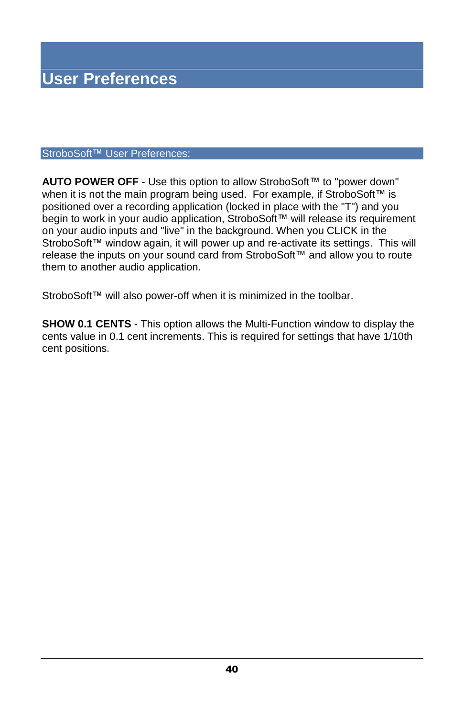#### StroboSoft™ User Preferences:

**AUTO POWER OFF** - Use this option to allow StroboSoft™ to "power down" when it is not the main program being used. For example, if StroboSoft™ is positioned over a recording application (locked in place with the "T") and you begin to work in your audio application, StroboSoft™ will release its requirement on your audio inputs and "live" in the background. When you CLICK in the StroboSoft™ window again, it will power up and re-activate its settings. This will release the inputs on your sound card from StroboSoft™ and allow you to route them to another audio application.

StroboSoft™ will also power-off when it is minimized in the toolbar.

**SHOW 0.1 CENTS** - This option allows the Multi-Function window to display the cents value in 0.1 cent increments. This is required for settings that have 1/10th cent positions.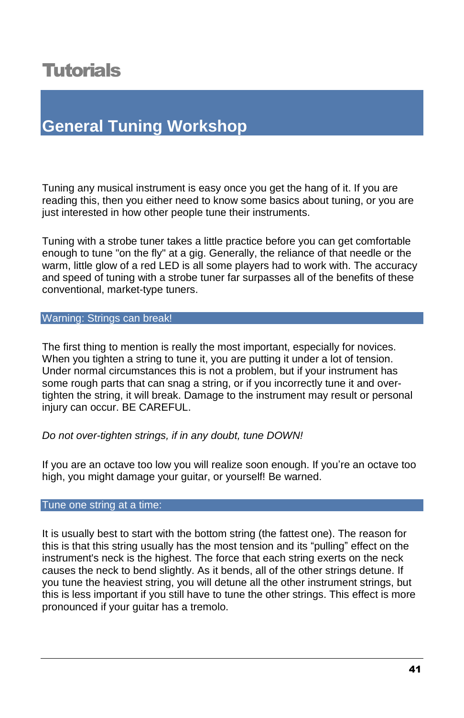# **Tutorials**

# **General Tuning Workshop**

Tuning any musical instrument is easy once you get the hang of it. If you are reading this, then you either need to know some basics about tuning, or you are just interested in how other people tune their instruments.

Tuning with a strobe tuner takes a little practice before you can get comfortable enough to tune "on the fly" at a gig. Generally, the reliance of that needle or the warm, little glow of a red LED is all some players had to work with. The accuracy and speed of tuning with a strobe tuner far surpasses all of the benefits of these conventional, market-type tuners.

#### Warning: Strings can break!

The first thing to mention is really the most important, especially for novices. When you tighten a string to tune it, you are putting it under a lot of tension. Under normal circumstances this is not a problem, but if your instrument has some rough parts that can snag a string, or if you incorrectly tune it and overtighten the string, it will break. Damage to the instrument may result or personal injury can occur. BE CAREFUL.

#### Do not over-tighten strings, if in any doubt, tune DOWN!

If you are an octave too low you will realize soon enough. If you're an octave too high, you might damage your guitar, or yourself! Be warned.

#### Tune one string at a time:

It is usually best to start with the bottom string (the fattest one). The reason for this is that this string usually has the most tension and its "pulling" effect on the instrument's neck is the highest. The force that each string exerts on the neck causes the neck to bend slightly. As it bends, all of the other strings detune. If you tune the heaviest string, you will detune all the other instrument strings, but this is less important if you still have to tune the other strings. This effect is more pronounced if your guitar has a tremolo.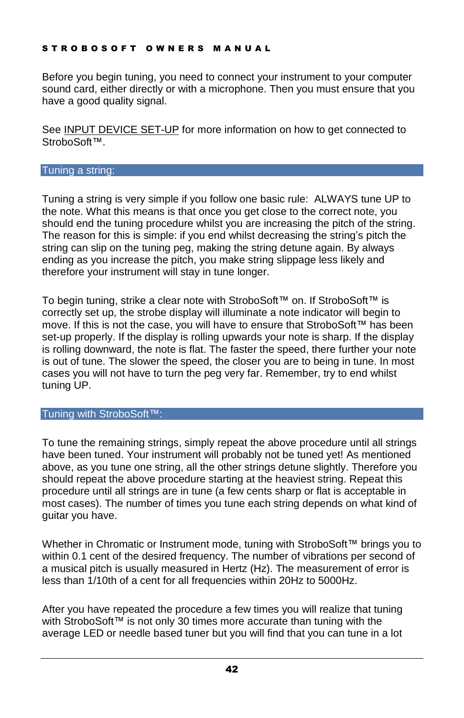#### STROBOSOFT OWNERS MANUAL

Before you begin tuning, you need to connect your instrument to your computer sound card, either directly or with a microphone. Then you must ensure that you have a good quality signal.

See INPUT DEVICE SET-UP for more information on how to get connected to StroboSoft™

#### Tuning a string:

Tuning a string is very simple if you follow one basic rule: ALWAYS tune UP to the note. What this means is that once you get close to the correct note, you should end the tuning procedure whilst you are increasing the pitch of the string. The reason for this is simple: if you end whilst decreasing the string's pitch the string can slip on the tuning peg, making the string detune again. By always ending as you increase the pitch, you make string slippage less likely and therefore your instrument will stay in tune longer.

To begin tuning, strike a clear note with StroboSoft™ on. If StroboSoft™ is correctly set up, the strobe display will illuminate a note indicator will begin to move. If this is not the case, you will have to ensure that StroboSoft™ has been set-up properly. If the display is rolling upwards your note is sharp. If the display is rolling downward, the note is flat. The faster the speed, there further your note is out of tune. The slower the speed, the closer you are to being in tune. In most cases you will not have to turn the peg very far. Remember, try to end whilst tuning UP.

#### Tuning with StroboSoft™:

To tune the remaining strings, simply repeat the above procedure until all strings have been tuned. Your instrument will probably not be tuned yet! As mentioned above, as you tune one string, all the other strings detune slightly. Therefore you should repeat the above procedure starting at the heaviest string. Repeat this procedure until all strings are in tune (a few cents sharp or flat is acceptable in most cases). The number of times you tune each string depends on what kind of guitar you have.

Whether in Chromatic or Instrument mode, tuning with StroboSoft™ brings you to within 0.1 cent of the desired frequency. The number of vibrations per second of a musical pitch is usually measured in Hertz (Hz). The measurement of error is less than 1/10th of a cent for all frequencies within 20Hz to 5000Hz.

After you have repeated the procedure a few times you will realize that tuning with StroboSoft<sup> $m$ </sup> is not only 30 times more accurate than tuning with the average LED or needle based tuner but you will find thatyou can tune in a lot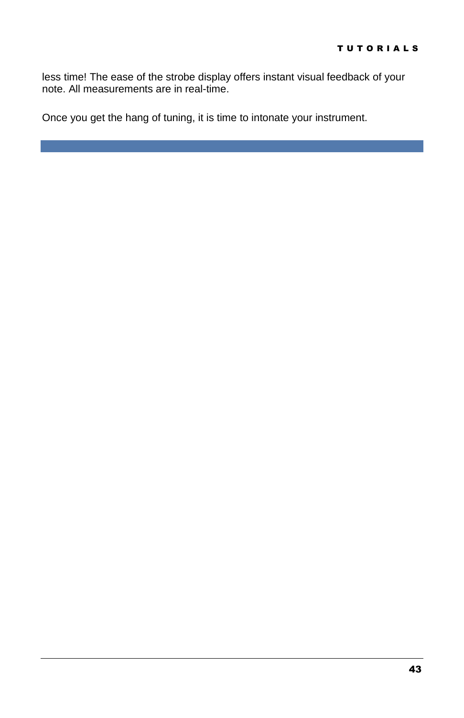less time! The ease of the strobe display offers instant visual feedback of your note. All measurements are in real-time.

Once you get the hang of tuning, it is time to intonate your instrument.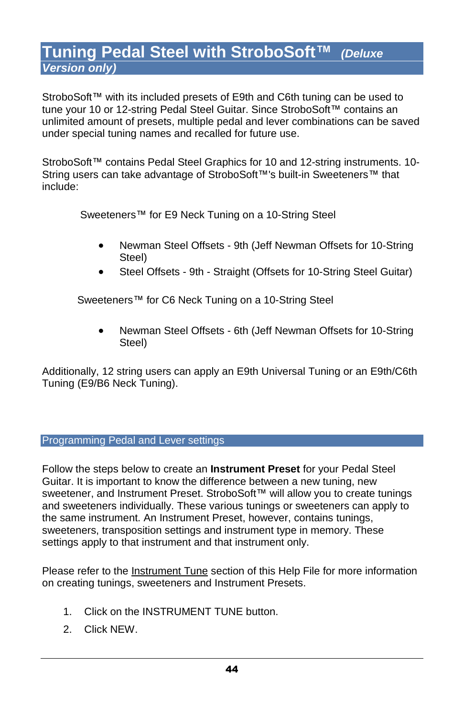# **Tuning Pedal Steel with StroboSoft™** (Deluxe **Version only)**

StroboSoft™ with its included presets of E9th and C6th tuning can be used to tune your 10 or 12-string Pedal Steel Guitar. Since StroboSoft™ contains an unlimited amount of presets, multiple pedal and lever combinations can be saved under special tuning names and recalled for future use.

StroboSoft™ contains Pedal Steel Graphics for 10 and 12-string instruments. 10-String users can take advantage of StroboSoft™'s built-in Sweeteners<sup>™</sup> that include:

Sweeteners™ for E9 Neck Tuning on a 10-String Steel

- Newman Steel Offsets 9th (Jeff Newman Offsets for 10-String Steel)
- Steel Offsets 9th Straight (Offsets for 10-String Steel Guitar)

Sweeteners™ for C6 Neck Tuning on a 10-String Steel

 Newman Steel Offsets - 6th (Jeff Newman Offsets for 10-String Steel)

Additionally, 12 string users can apply an E9th Universal Tuning or an E9th/C6th Tuning (E9/B6 Neck Tuning).

#### Programming Pedal and Lever settings

Follow the steps below to create an **Instrument Preset** for your Pedal Steel Guitar. It is important to know the difference between a new tuning, new sweetener, and Instrument Preset. StroboSoft™ will allow you to create tunings and sweeteners individually. These various tunings or sweeteners can apply to the same instrument. An Instrument Preset, however, contains tunings, sweeteners, transposition settings and instrument type in memory. These settings apply to that instrument and that instrument only.

Please refer to the Instrument Tune section of this Help File for more information on creating tunings, sweeteners and Instrument Presets.

- 1. Click on the INSTRUMENT TUNE button.
- 2. Click NEW.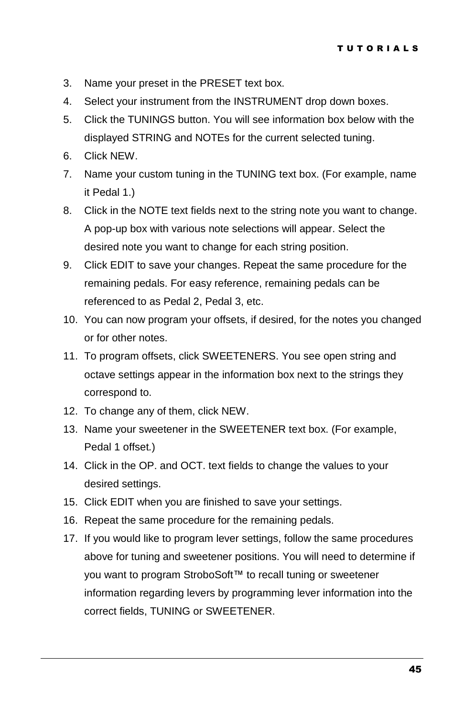- 3. Name your preset in the PRESET text box.
- 4. Select your instrument from the INSTRUMENT drop down boxes.
- 5. Click the TUNINGS button. You will see information box below with the displayed STRING and NOTEs for the current selected tuning.
- 6. Click NEW.
- 7. Name your custom tuning in the TUNING text box. (For example, name it Pedal 1.)
- 8. Click in the NOTE text fields next to the string note you want to change. A pop-up box with various note selections will appear. Select the desired note you want to change for each string position.
- 9. Click EDIT to save your changes. Repeat the same procedure for the remaining pedals. For easy reference, remaining pedals can be referenced to as Pedal 2, Pedal 3, etc.
- 10. You can now program your offsets, if desired, for the notes you changed or for other notes.
- 11. To program offsets, click SWEETENERS. You see open string and octave settings appear in the information box next to the strings they correspond to.
- 12. To change any of them, click NEW.
- 13. Name your sweetener in the SWEETENER text box. (For example, Pedal 1 offset.)
- 14. Click in the OP. and OCT. text fields to change the values to your desired settings.
- 15. Click EDIT when you are finished to save your settings.
- 16. Repeat the same procedure for the remaining pedals.
- 17. If you would like to program lever settings, follow the same procedures above for tuning and sweetener positions. You will need to determine if you want to program StroboSoft™ to recall tuning or sweetener information regarding levers by programming lever information into the correct fields, TUNING or SWEETENER.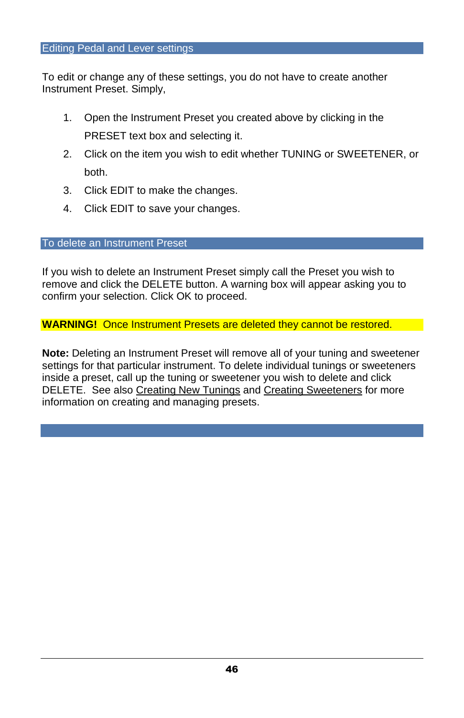To edit or change any of these settings, you do not have to create another Instrument Preset. Simply,

- 1. Open the Instrument Preset you created above by clicking in the PRESET text box and selecting it.
- 2. Click on the item you wish to edit whether TUNING or SWEETENER, or both.
- 3. Click EDIT to make the changes.
- 4. Click EDIT to save your changes.

#### To delete an Instrument Preset

If you wish to delete an Instrument Preset simply call the Preset you wish to remove and click the DELETE button. A warning box will appear asking you to confirm your selection. Click OK to proceed.

#### **WARNING!** Once Instrument Presets are deleted they cannot be restored.

**Note:** Deleting an Instrument Preset will remove all of your tuning and sweetener settings for that particular instrument. To delete individual tunings or sweeteners inside a preset, call up the tuning or sweetener you wish to delete and click DELETE. See also Creating New Tunings and Creating Sweeteners for more information on creating and managing presets.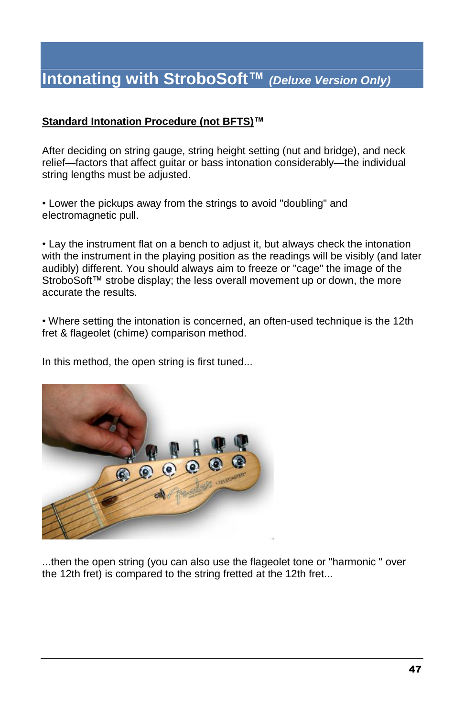# **Intonating with StroboSoftô (Deluxe Version Only)**

#### **Standard Intonation Procedure (not BFTS)ô**

After deciding on string gauge, string height setting (nutand bridge), and neck relief—factors that affect guitar or bass intonation considerably—the individual string lengths must be adjusted.

• Lower the pickups away from the strings to avoid "doubling" and electromagnetic pull.

• Lay the instrument flat on a bench to adjust it, but always check the intonation with the instrument in the playing position as the readings will be visibly (and later audibly) different. You should always aim to freeze or "cage" the image of the StroboSoft™ strobe display; the less overall movement up or down, the more accurate the results.

• Where setting the intonation is concerned, an often-used technique is the 12th fret & flageolet (chime) comparison method.

In this method, the open string is first tuned...



...then the open string (you can also use the flageolet tone or "harmonic " over the 12th fret) is compared to the string fretted at the 12th fret...

T U T O R I A L S I A L S I A L S I A L S I A L S I A L S I A L S I A L S I A L S I A L S I A L S I A L S I A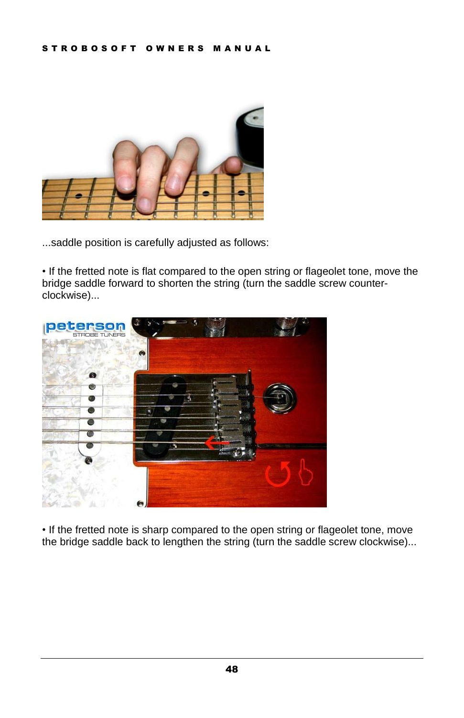

...saddle position is carefully adjusted as follows:

• If the fretted note is flat compared to the open string or flageolet tone, move the bridge saddle forward to shorten the string (turn the saddle screw counter clockwise)...



• If the fretted note is sharp compared to the open string or flageolet tone, move the bridge saddle back to lengthen the string (turn the saddle screw clockwise)...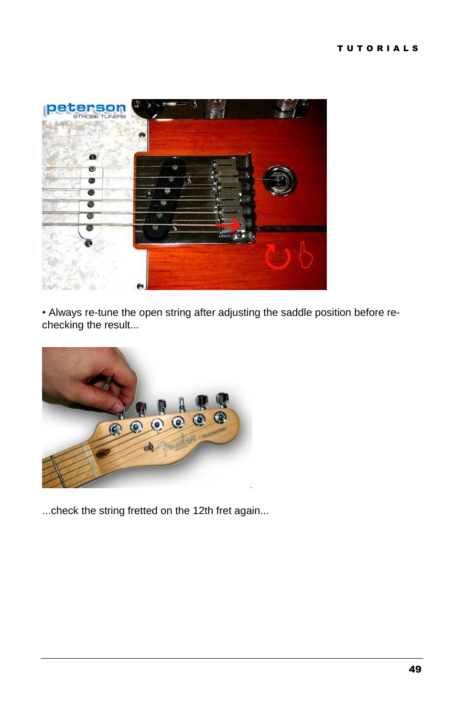

• Always re-tune the open string after adjusting the saddle position before rechecking the result...



...check the string fretted on the 12th fret again...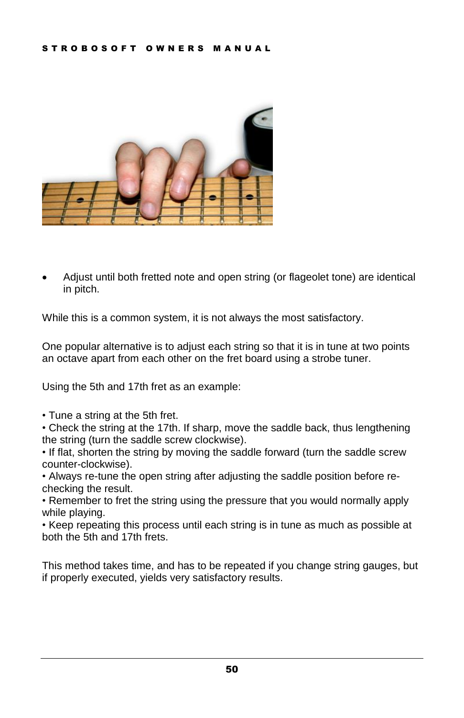

 Adjust until both fretted note and open string (or flageolet tone) are identical in pitch.

While this is a common system, it is not always the most satisfactory.

One popular alternative is to adjust each string so that it is in tune at two points an octave apart from each other on the fret board using a strobe tuner.

Using the 5th and 17th fret as an example:

• Tune a string at the 5th fret.

• Check the string at the 17th. If sharp, move the saddle back, thus lengthening the string (turn the saddle screw clockwise).

• If flat, shorten the string by moving the saddle forward (turn the saddle screw counter-clockwise).

• Always re-tune the open string after adjusting the saddle position before rechecking the result.

• Remember to fret the string using the pressure that you would normally apply while playing.

• Keep repeating this process until each string is in tune as much as possible at both the 5th and 17th frets.

This method takes time, and has to be repeated if you change string gauges, but if properly executed, yields very satisfactory results.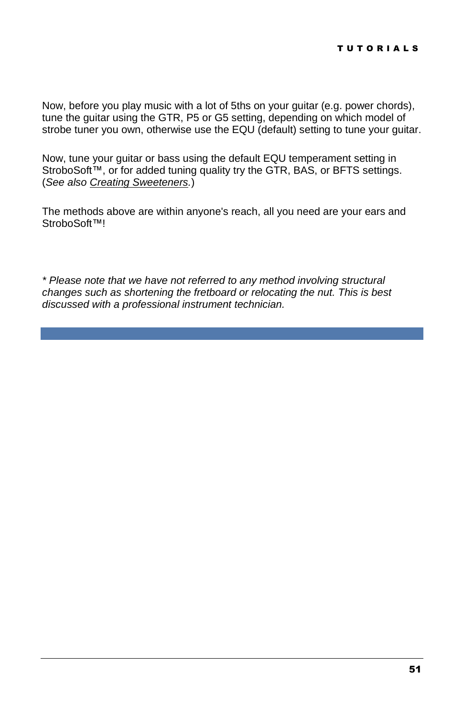Now, before you play music with a lot of 5ths on your guitar (e.g. power chords), tune the guitar using the GTR, P5 or G5 setting, depending on which model of strobe tuner you own, otherwise use the EQU (default) setting to tune your guitar.

Now, tune your guitar or bass using the default EQU temperament setting in StroboSoft™, or for added tuning quality try the GTR, BAS, or BFTS settings. (See also Creating Sweeteners.)

The methods above are within anyone's reach, all you need are your ears and StroboSoft<sup>™!</sup>

\* Please note that we have not referred to any method involving structural changes such as shortening the fretboard or relocating the nut.This is best discussed with a professional instrument technician.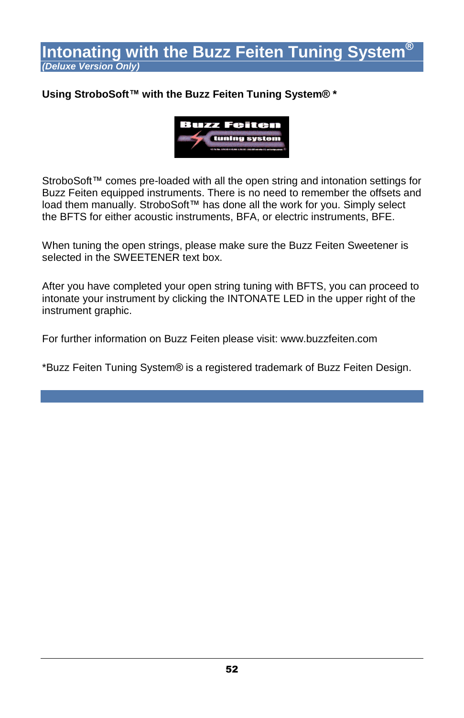# Intonating with the Buzz Feiten Tuning System® **(Deluxe Version Only)**

### **Using StroboSoftô with the Buzz Feiten Tuning SystemÆ \***



StroboSoft™ comes pre-loaded with all the open string and intonation settings for Buzz Feiten equipped instruments. There is no need to remember the offsets and load them manually. StroboSoft™ has done all the work for you. Simply select the BFTS for either acoustic instruments, BFA, or electric instruments, BFE.

When tuning the open strings, please make sure the Buzz Feiten Sweetener is selected in the SWEETENER text box.

After you have completed your open string tuning with BFTS, you can proceed to intonate your instrument by clicking the INTONATE LED in the upper right of the instrument graphic.

For further information on Buzz Feiten please visit: www.buzzfeiten.com

\*Buzz Feiten Tuning SystemÆ is a registered trademark of Buzz Feiten Design.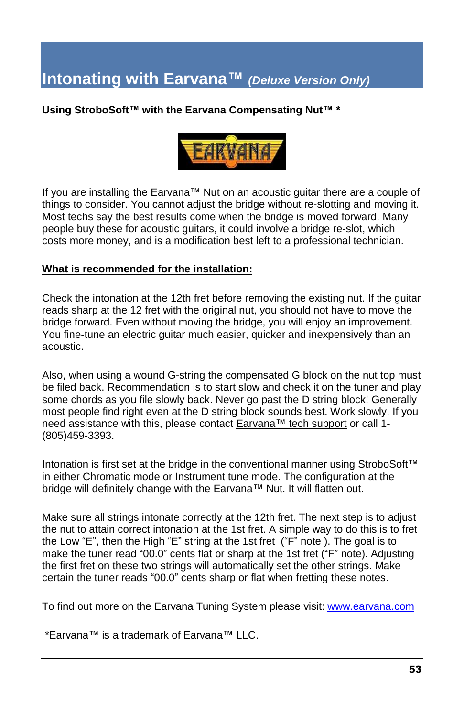# **Intonating with Earvanaô (Deluxe Version Only)**

#### **Using StroboSoftô with the Earvana Compensating Nutô \***



If you are installing the Earvana<sup> $\text{m}$ </sup> Nut on an acoustic guitar there are a couple of things to consider. You cannot adjust the bridge without re-slotting and moving it. Most techs say the best results come when the bridge is moved forward. Many people buy these for acoustic guitars, it could involve a bridge re-slot, which costs more money, and is a modification best left to a professional technician.

#### **What is recommended forthe installation:**

Check the intonation at the 12th fret before removing the existing nut. If the guitar reads sharp at the 12 fret with the original nut, you should not have to move the bridge forward. Even without moving the bridge, you will enjoy an improvement. You fine-tune an electric guitar much easier, quicker and inexpensively than an acoustic.

Also, when using a wound G-string the compensated G block on the nut top must be filed back. Recommendation is to start slow and check it on the tuner and play some chords as you file slowly back. Never go past the D string block! Generally most people find right even at the D string block sounds best. Work slowly. If you need assistance with this, please contact **Earvana™** tech support or call 1-(805)459-3393.

Intonation is first set at the bridge in the conventional manner using StroboSoft™ in either Chromatic mode or Instrument tune mode. The configuration at the bridge will definitely change with the Earvana™ Nut. It will flatten out.

Make sure all strings intonate correctly at the 12th fret. The next step is to adjust the nut to attain correct intonation at the 1st fret. A simple way to do this is to fret the Low "E", then the High "E" string at the 1st fret ("F" note ). The goal is to make the tuner read "00.0" cents flat or sharp at the 1st fret ("F" note). Adjusting the first fret on these two strings will automatically set the other strings. Make certain the tuner reads "00.0" cents sharp or flat when fretting these notes.

To find out more on the Earvana Tuning System please visit: [www.earvana.com](http://www.earvana.com)

\*Earvana<sup>™</sup> is a trademark of Earvana<sup>™</sup> LLC.

T U T O R I A L S I A L S I A L S I A L S I A L S I A L S I A L S I A L S I A L S I A L S I A L S I A L S I A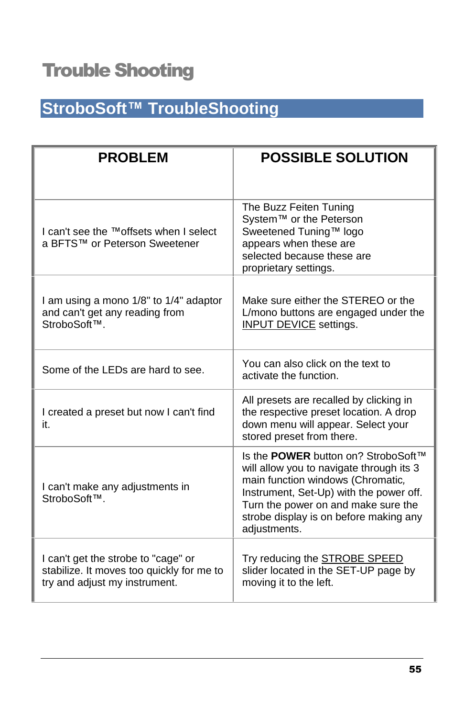# Trouble Shooting

# **StroboSoftô TroubleShooting**

| <b>PROBLEM</b>                                                                                                    | <b>POSSIBLE SOLUTION</b>                                                                                                                                                                                                                                         |
|-------------------------------------------------------------------------------------------------------------------|------------------------------------------------------------------------------------------------------------------------------------------------------------------------------------------------------------------------------------------------------------------|
| I can't see the ™offsets when I select<br>a BFTS™ or Peterson Sweetener                                           | The Buzz Feiten Tuning<br>System™ or the Peterson<br>Sweetened Tuning™ logo<br>appears when these are<br>selected because these are<br>proprietary settings.                                                                                                     |
| I am using a mono 1/8" to 1/4" adaptor<br>and can't get any reading from<br>StroboSoft™.                          | Make sure either the STEREO or the<br>L/mono buttons are engaged under the<br><b>INPUT DEVICE</b> settings.                                                                                                                                                      |
| Some of the LEDs are hard to see.                                                                                 | You can also click on the text to<br>activate the function.                                                                                                                                                                                                      |
| I created a preset but now I can't find<br>it.                                                                    | All presets are recalled by clicking in<br>the respective preset location. A drop<br>down menu will appear. Select your<br>stored preset from there.                                                                                                             |
| I can't make any adjustments in<br>StroboSoft™.                                                                   | Is the POWER button on? StroboSoft™<br>will allow you to navigate through its 3<br>main function windows (Chromatic,<br>Instrument, Set-Up) with the power off.<br>Turn the power on and make sure the<br>strobe display is on before making any<br>adjustments. |
| I can't get the strobe to "cage" or<br>stabilize. It moves too quickly for me to<br>try and adjust my instrument. | Try reducing the STROBE SPEED<br>slider located in the SET-UP page by<br>moving it to the left.                                                                                                                                                                  |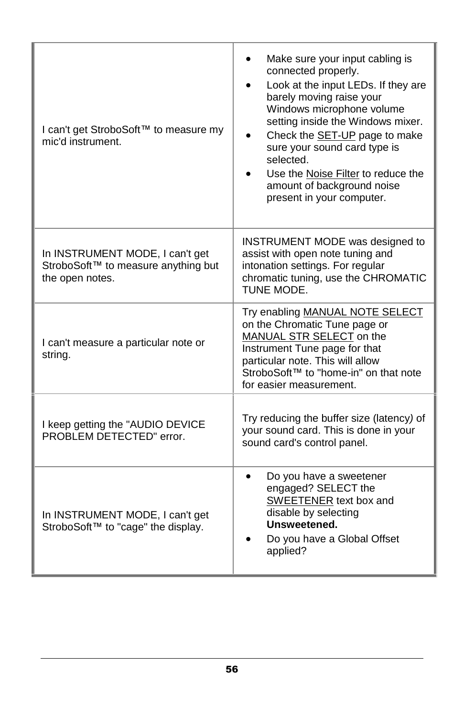| I can't get StroboSoft™ to measure my<br>mic'd instrument.                                | Make sure your input cabling is<br>connected properly.<br>Look at the input LEDs. If they are<br>barely moving raise your<br>Windows microphone volume<br>setting inside the Windows mixer.<br>Check the <b>SET-UP</b> page to make<br>sure your sound card type is<br>selected.<br>Use the Noise Filter to reduce the<br>amount of background noise<br>present in your computer. |
|-------------------------------------------------------------------------------------------|-----------------------------------------------------------------------------------------------------------------------------------------------------------------------------------------------------------------------------------------------------------------------------------------------------------------------------------------------------------------------------------|
| In INSTRUMENT MODE, I can't get<br>StroboSoft™ to measure anything but<br>the open notes. | <b>INSTRUMENT MODE was designed to</b><br>assist with open note tuning and<br>intonation settings. For regular<br>chromatic tuning, use the CHROMATIC<br>TUNE MODE.                                                                                                                                                                                                               |
| I can't measure a particular note or<br>string.                                           | Try enabling MANUAL NOTE SELECT<br>on the Chromatic Tune page or<br>MANUAL STR SELECT on the<br>Instrument Tune page for that<br>particular note. This will allow<br>StroboSoft™ to "home-in" on that note<br>for easier measurement.                                                                                                                                             |
| I keep getting the "AUDIO DEVICE<br>PROBLEM DETECTED" error.                              | Try reducing the buffer size (latency) of<br>your sound card. This is done in your<br>sound card's control panel.                                                                                                                                                                                                                                                                 |
| In INSTRUMENT MODE, I can't get<br>StroboSoft™ to "cage" the display.                     | Do you have a sweetener<br>$\bullet$<br>engaged? SELECT the<br><b>SWEETENER</b> text box and<br>disable by selecting<br>Unsweetened.<br>Do you have a Global Offset<br>applied?                                                                                                                                                                                                   |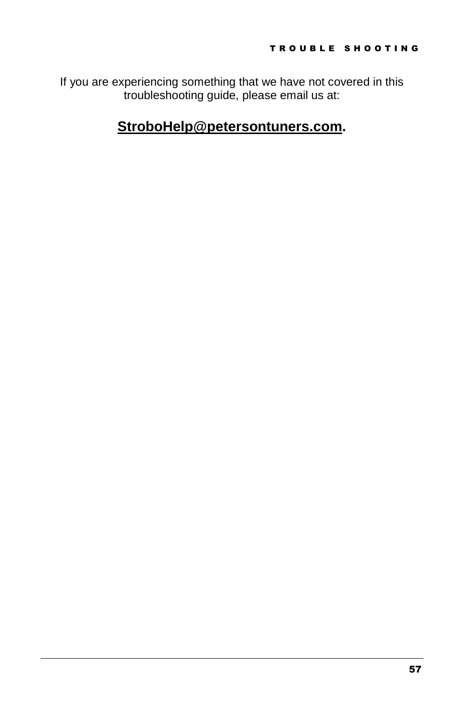If you are experiencing something that we have not covered in this troubleshooting guide, please email us at:

# **StroboHelp@petersontuners.com.**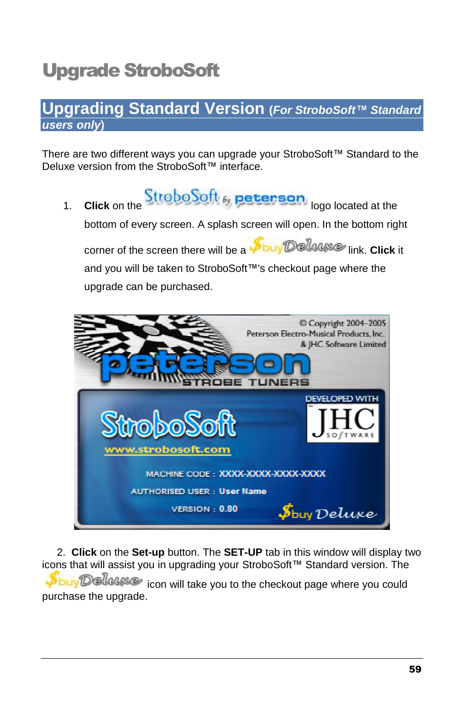# Upgrade StroboSoft

# **Upgrading Standard Version (For StroboSoft***ô* **Standard users only)**

There are two different ways you can upgrade your StroboSoft $M$  Standard to the Deluxe version from the StroboSoft™ interface.

1. **Click** on the **Strobo Soft** by **peterson** logo located at the bottom of every screen. A splash screen will open. In the bottom right corner of the screen there will be a **buy Dellayse** link. **Click** it and you will be taken to StroboSoft™'s checkout page where the upgrade can be purchased.



2. **Click** on the **Set-up** button. The **SET-UP** tab in this window will display two icons that will assist you in upgrading your StroboSoft™ Standard version. The **Sbuy Delause** icon will take you to the checkout page where you could purchase the upgrade.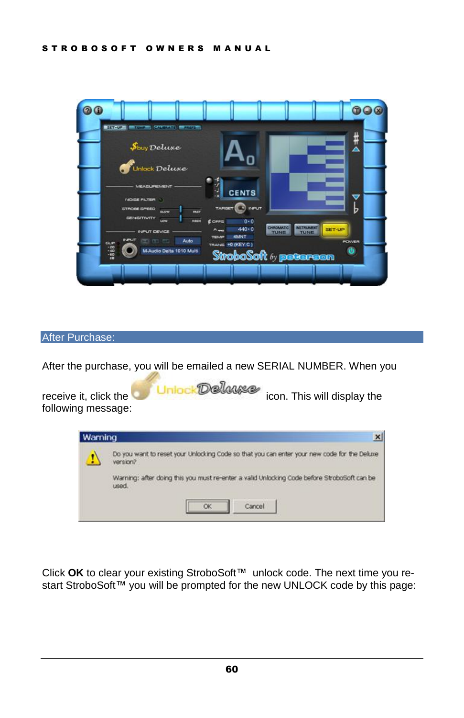

#### After Purchase:

After the purchase, you will be emailed a new SERIAL NUMBER. When you

receive it, click the **interval Unioc Delayse** icon. This will display the following message:



Click OK to clear your existing StroboSoft<sup>™</sup> unlock code. The next time you restart StroboSoft™ you will be prompted for the new UNLOCK code by this page: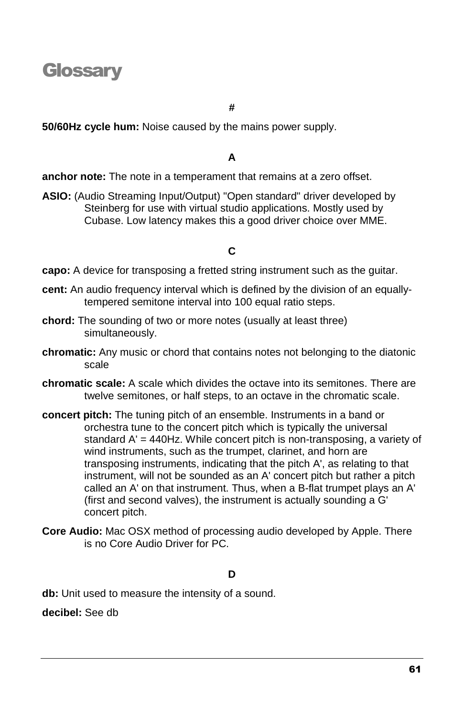# **Glossary**

#### **#**

**50/60Hz cycle hum:** Noise caused by the mains power supply.

## **A**

**anchor note:** The note in a temperament that remains at a zero offset.

**ASIO:** (Audio Streaming Input/Output) "Open standard" driver developed by Steinberg for use with virtual studio applications. Mostly used by Cubase. Low latency makes this a good driver choice over MME.

### **C**

**capo:** A device for transposing a fretted string instrument such as the guitar.

- **cent:** An audio frequency interval which is defined by the division of an equallytempered semitone interval into 100 equal ratio steps.
- **chord:** The sounding of two or more notes (usually at least three) simultaneously.
- **chromatic:** Any music or chord that contains notes not belonging to the diatonic scale
- **chromatic scale:** A scale which divides the octave into its semitones. There are twelve semitones, or half steps, to an octave in the chromatic scale.
- **concert pitch:** The tuning pitch of an ensemble. Instruments in a band or orchestra tune to the concert pitch which is typically the universal standard A' = 440Hz. While concert pitch is non-transposing, a variety of wind instruments, such as the trumpet, clarinet, and horn are transposing instruments, indicating that the pitch A', as relating to that instrument, will not be sounded as an A' concert pitch but rather a pitch called an A' on that instrument. Thus, when a B-flat trumpet plays an A' (first and second valves), the instrument is actually sounding a G' concert pitch.
- **Core Audio:** Mac OSX method of processing audio developed by Apple. There is no Core Audio Driver for PC.

#### **D**

**db:** Unit used to measure the intensity of a sound.

**decibel:** See db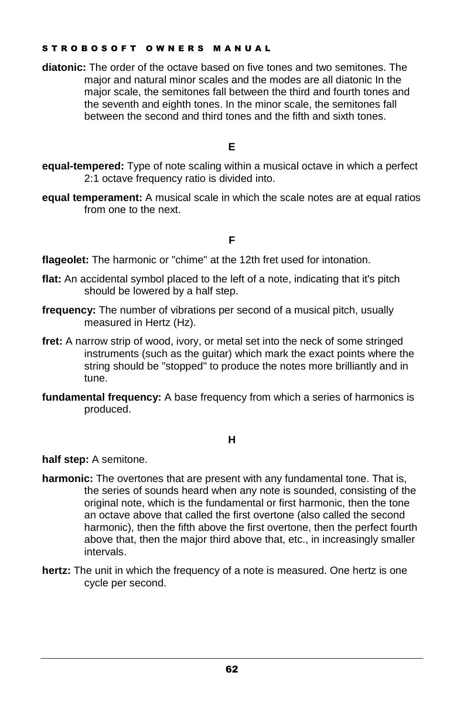#### STROBOSOFT OWNERS MANUAL

**diatonic:** The order of the octave based on five tones and two semitones. The major and natural minor scales and the modes are all diatonic In the major scale, the semitones fall between the third and fourth tones and the seventh and eighth tones. In the minor scale, the semitones fall between the second and third tones and the fifth and sixth tones.

#### **E**

- **equal-tempered:** Type of note scaling within a musical octave in which a perfect 2:1 octave frequency ratio is divided into.
- **equal temperament:** A musical scale in which the scale notes are at equal ratios from one to the next.

### **F**

**flageolet:** The harmonic or "chime" at the 12th fret used for intonation.

- **flat:** An accidental symbol placed to the left of a note, indicating that it's pitch should be lowered by a half step.
- **frequency:** The number of vibrations per second of a musical pitch, usually measured in Hertz (Hz).
- fret: A narrow strip of wood, ivory, or metal set into the neck of some stringed instruments (such as the guitar) which mark the exact points where the string should be "stopped" to produce the notes more brilliantly and in tune.
- **fundamental frequency:** A base frequency from which a series of harmonics is produced.

#### **H**

**half step:** A semitone.

- **harmonic:** The overtones that are present with any fundamental tone. That is, the series of sounds heard when any note is sounded, consisting of the original note, which is the fundamental or first harmonic, then the tone an octave above that called the first overtone (also called the second harmonic), then the fifth above the first overtone, then the perfect fourth above that, then the major third above that, etc., in increasingly smaller intervals.
- **hertz:** The unit in which the frequency of a note is measured. One hertz is one cycle per second.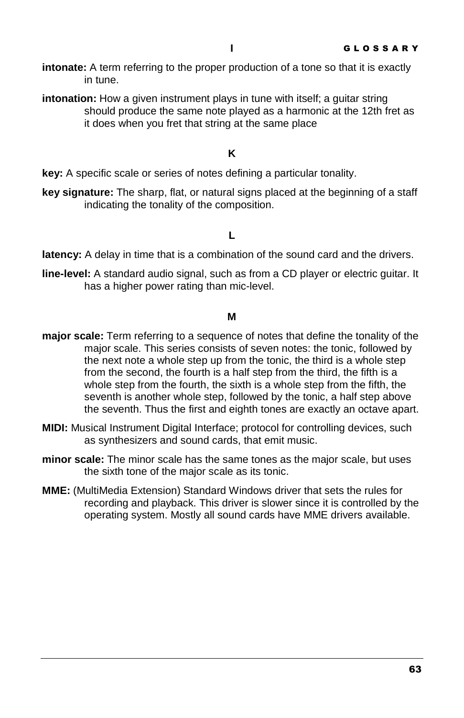- **intonate:** A term referring to the proper production of a tone so that it is exactly in tune.
- **intonation:** How a given instrument plays in tune with itself; a guitar string should produce the same note played as a harmonic at the 12th fret as it does when you fret that string at the same place

#### **K**

**key:** A specific scale or series of notes defining a particular tonality.

**key signature:** The sharp, flat, or natural signs placed at the beginning of a staff indicating the tonality of the composition.

#### **L**

**latency:** A delay in time that is a combination of the sound card and the drivers.

**line-level:** A standard audio signal, such as from a CD player or electric guitar. It has a higher power rating than mic-level.

#### **M**

- **major scale:** Term referring to a sequence of notes that define the tonality of the major scale. This series consists of seven notes: the tonic, followed by the next note a whole step up from the tonic, the third is a whole step from the second, the fourth is a half step from the third, the fifth is a whole step from the fourth, the sixth is a whole step from the fifth, the seventh is another whole step, followed by the tonic, a half step above the seventh. Thus the first and eighth tones are exactly an octave apart.
- **MIDI:** Musical Instrument Digital Interface; protocol for controlling devices, such as synthesizers and sound cards, that emit music.
- **minor scale:** The minor scale has the same tones as the major scale, but uses the sixth tone of the major scale as its tonic.
- **MME:** (MultiMedia Extension) Standard Windows driver that sets the rules for recording and playback. This driver is slower since it is controlled by the operating system. Mostly all sound cards have MME drivers available.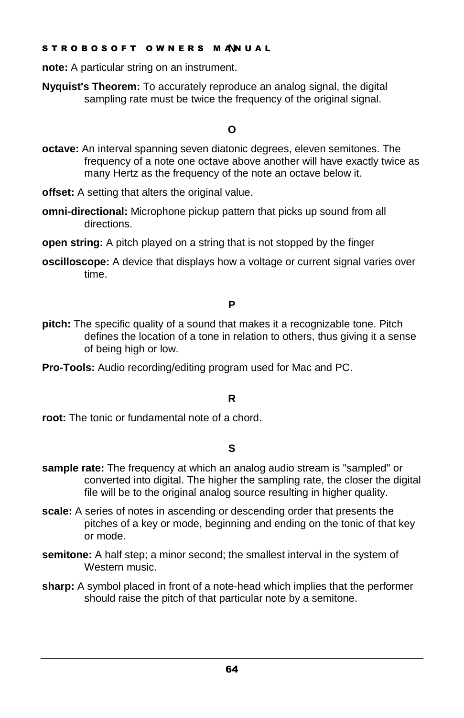#### S T R O B O S O F T O W N E R S M AN U A L **N**

**note:** A particular string on an instrument.

**Nyquist's Theorem:** To accurately reproduce an analog signal, the digital sampling rate must be twice the frequency of the original signal.

### **O**

- **octave:** An interval spanning seven diatonic degrees, eleven semitones. The frequency of a note one octave above another will have exactly twice as many Hertz as the frequency of the note an octave below it.
- **offset:** A setting that alters the original value.
- **omni-directional:** Microphone pickup pattern that picks up sound from all directions.
- **open string:** A pitch played on a string that is not stopped by the finger
- **oscilloscope:** A device that displays how a voltage or current signal varies over time.

## **P**

- **pitch:** The specific quality of a sound that makes it a recognizable tone. Pitch defines the location of a tone in relation to others, thus giving it a sense of being high or low.
- **Pro-Tools:** Audio recording/editing program used for Mac and PC.

### **R**

root: The tonic or fundamental note of a chord.

### **S**

- **sample rate:** The frequency at which an analog audio stream is "sampled" or converted into digital. The higher the sampling rate, the closer the digital file will be to the original analog source resulting in higher quality.
- **scale:** A series of notes in ascending or descending order that presents the pitches of a key or mode, beginning and ending on the tonic of that key or mode.
- **semitone:** A half step; a minor second; the smallest interval in the system of Western music.
- **sharp:** A symbol placed in front of a note-head which implies that the performer should raise the pitch of that particular note by a semitone.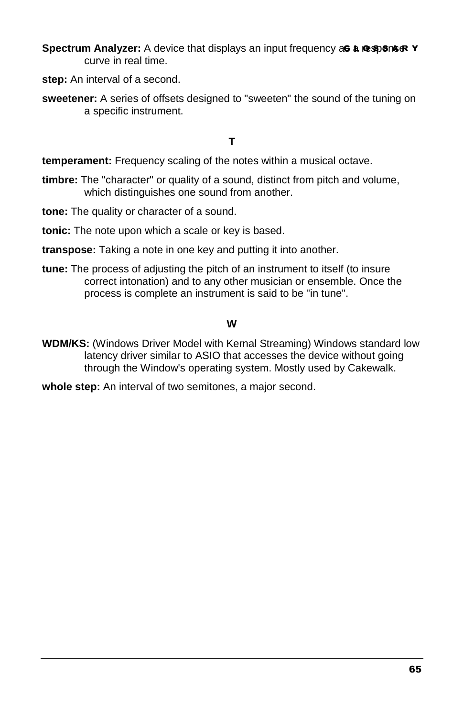**Spectrum Analyzer:** A device that displays an input frequency as a response **Y** curve in real time.

**step:** An interval of a second.

**sweetener:** A series of offsets designed to "sweeten" the sound of the tuning on a specific instrument.

**T**

**temperament:** Frequency scaling of the notes within a musical octave.

- **timbre:** The "character" or quality of a sound, distinct from pitch and volume, which distinguishes one sound from another.
- **tone:** The quality or character of a sound.
- **tonic:** The note upon which a scale or key is based.

**transpose:** Taking a note in one key and putting it into another.

**tune:** The process of adjusting the pitch of an instrument to itself (to insure correct intonation) and to any other musician or ensemble. Once the process is complete an instrument is said to be "in tune".

#### **W**

- **WDM/KS:** (Windows Driver Model with Kernal Streaming) Windows standard low latency driver similar to ASIO that accesses the device without going through the Window's operating system. Mostly used by Cakewalk.
- **whole step:** An interval of two semitones, a major second.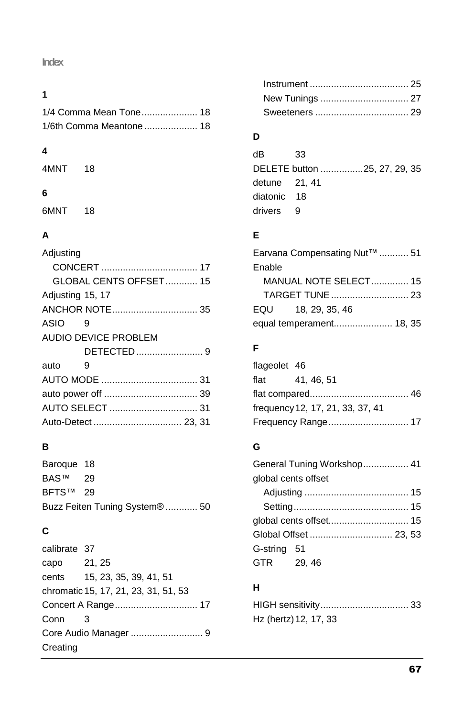### **Index**

#### **1**

| 1/4 Comma Mean Tone 18  |  |
|-------------------------|--|
| 1/6th Comma Meantone 18 |  |

#### **4**

4MNT 18

#### **6**

6MNT 18

# **A**

| Adjusting              |
|------------------------|
|                        |
| GLOBAL CENTS OFFSET 15 |
| Adjusting 15, 17       |
|                        |
| ASIO<br>9              |
| AUDIO DEVICE PROBLEM   |
|                        |
| auto<br>9              |
|                        |
|                        |
|                        |
|                        |
|                        |

## **B**

Baroque 18 BAS™ 29 BFTS™ 29 Buzz Feiten Tuning System® ............ 50

## **C**

calibrate 37 capo 21, 25 cents 15, 23, 35, 39, 41, 51 chromatic 15,17, 21, 23, 31, 51, 53 Concert A Range............................... 17 Conn 3 Core Audio Manager ........................... 9 **Creating** 

### **D**

dB 33 DELETE button ................25, 27, 29, 35 detune 21, 41 diatonic 18 drivers 9

# **E**

| Earvana Compensating Nut™  51 |  |
|-------------------------------|--|
| Enable                        |  |
| <b>MANUAL NOTE SELECT 15</b>  |  |
|                               |  |
| EQU 18, 29, 35, 46            |  |
|                               |  |

# **F**

| flageolet 46 |                                  |  |
|--------------|----------------------------------|--|
|              | flat 41, 46, 51                  |  |
|              |                                  |  |
|              | frequency 12, 17, 21, 33, 37, 41 |  |
|              | Frequency Range 17               |  |

### **G**

| General Tuning Workshop 41 |  |  |
|----------------------------|--|--|
| global cents offset        |  |  |
|                            |  |  |
|                            |  |  |
|                            |  |  |
|                            |  |  |
| G-string 51                |  |  |
| GTR 29,46                  |  |  |

## **H**

| Hz (hertz) 12, 17, 33 |  |
|-----------------------|--|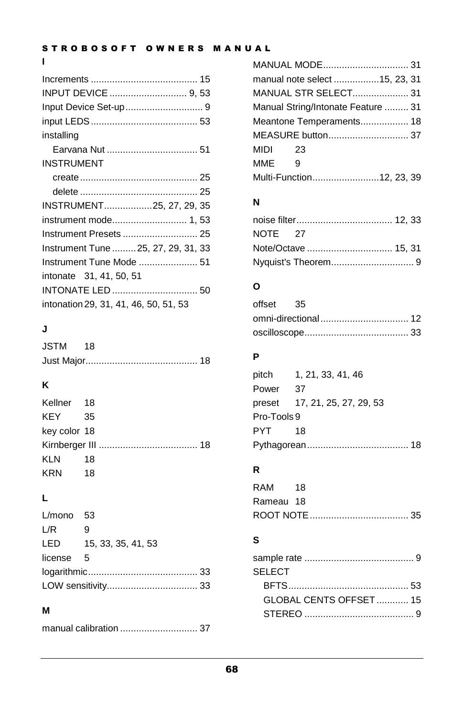## STROBOSOFT OWNERS MANUAL

## **I**

| installing                            |  |
|---------------------------------------|--|
|                                       |  |
| <b>INSTRUMENT</b>                     |  |
|                                       |  |
|                                       |  |
| INSTRUMENT25, 27, 29, 35              |  |
|                                       |  |
|                                       |  |
| Instrument Tune  25, 27, 29, 31, 33   |  |
|                                       |  |
| intonate 31, 41, 50, 51               |  |
|                                       |  |
| intonation 29, 31, 41, 46, 50, 51, 53 |  |

# **J**

| JSTM 18 |  |
|---------|--|
|         |  |

# **K**

| Kellner 18   |      |
|--------------|------|
| KEY 35       |      |
| key color 18 |      |
|              |      |
| KLN          | 18   |
| KRN          | - 18 |

# **L**

| $L/m$ ono 53 |                        |
|--------------|------------------------|
| L/R          | 9                      |
|              | LED 15, 33, 35, 41, 53 |
| license 5    |                        |
|              |                        |
|              |                        |

## **M**

|--|--|

| manual note select 15, 23, 31      |  |  |
|------------------------------------|--|--|
| <b>MANUAL STR SELECT 31</b>        |  |  |
| Manual String/Intonate Feature  31 |  |  |
| Meantone Temperaments 18           |  |  |
|                                    |  |  |
| MIDI 23                            |  |  |
| MME <sub>9</sub>                   |  |  |
| Multi-Function12, 23, 39           |  |  |

# **N**

| NOTE 27 |                     |  |
|---------|---------------------|--|
|         | Note/Octave  15, 31 |  |
|         |                     |  |

# **O**

| offset 35 |  |
|-----------|--|
|           |  |
|           |  |

# **P**

|             | pitch 1, 21, 33, 41, 46       |  |
|-------------|-------------------------------|--|
| Power       | - 37                          |  |
|             | preset 17, 21, 25, 27, 29, 53 |  |
| Pro-Tools 9 |                               |  |
| PYT 18      |                               |  |
|             |                               |  |

# **R**

| RAM 18    |  |
|-----------|--|
| Rameau 18 |  |
|           |  |

# **S**

| SEI FCT                |  |
|------------------------|--|
|                        |  |
| GLOBAL CENTS OFFSET 15 |  |
|                        |  |